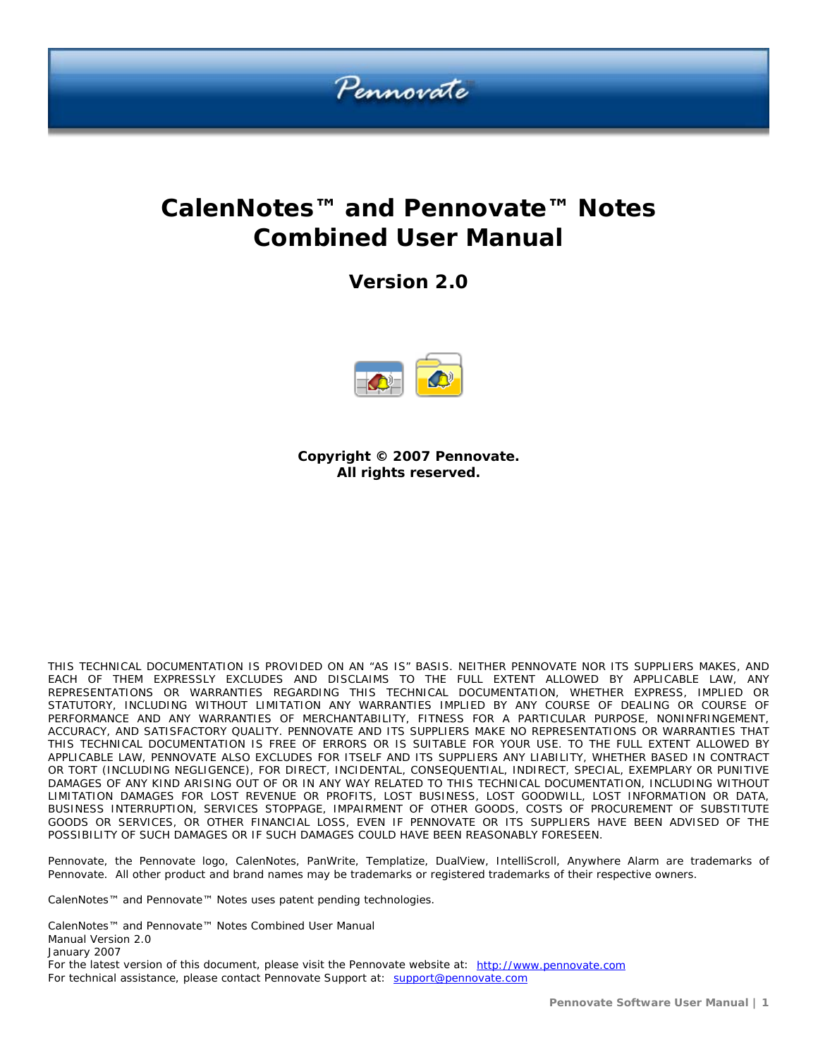

# **CalenNotes™ and Pennovate™ Notes Combined User Manual**

**Version 2.0** 



**Copyright © 2007 Pennovate. All rights reserved.** 

THIS TECHNICAL DOCUMENTATION IS PROVIDED ON AN "AS IS" BASIS. NEITHER PENNOVATE NOR ITS SUPPLIERS MAKES, AND EACH OF THEM EXPRESSLY EXCLUDES AND DISCLAIMS TO THE FULL EXTENT ALLOWED BY APPLICABLE LAW, ANY REPRESENTATIONS OR WARRANTIES REGARDING THIS TECHNICAL DOCUMENTATION, WHETHER EXPRESS, IMPLIED OR STATUTORY, INCLUDING WITHOUT LIMITATION ANY WARRANTIES IMPLIED BY ANY COURSE OF DEALING OR COURSE OF PERFORMANCE AND ANY WARRANTIES OF MERCHANTABILITY, FITNESS FOR A PARTICULAR PURPOSE, NONINFRINGEMENT, ACCURACY, AND SATISFACTORY QUALITY. PENNOVATE AND ITS SUPPLIERS MAKE NO REPRESENTATIONS OR WARRANTIES THAT THIS TECHNICAL DOCUMENTATION IS FREE OF ERRORS OR IS SUITABLE FOR YOUR USE. TO THE FULL EXTENT ALLOWED BY APPLICABLE LAW, PENNOVATE ALSO EXCLUDES FOR ITSELF AND ITS SUPPLIERS ANY LIABILITY, WHETHER BASED IN CONTRACT OR TORT (INCLUDING NEGLIGENCE), FOR DIRECT, INCIDENTAL, CONSEQUENTIAL, INDIRECT, SPECIAL, EXEMPLARY OR PUNITIVE DAMAGES OF ANY KIND ARISING OUT OF OR IN ANY WAY RELATED TO THIS TECHNICAL DOCUMENTATION, INCLUDING WITHOUT LIMITATION DAMAGES FOR LOST REVENUE OR PROFITS, LOST BUSINESS, LOST GOODWILL, LOST INFORMATION OR DATA, BUSINESS INTERRUPTION, SERVICES STOPPAGE, IMPAIRMENT OF OTHER GOODS, COSTS OF PROCUREMENT OF SUBSTITUTE GOODS OR SERVICES, OR OTHER FINANCIAL LOSS, EVEN IF PENNOVATE OR ITS SUPPLIERS HAVE BEEN ADVISED OF THE POSSIBILITY OF SUCH DAMAGES OR IF SUCH DAMAGES COULD HAVE BEEN REASONABLY FORESEEN.

Pennovate, the Pennovate logo, CalenNotes, PanWrite, Templatize, DualView, IntelliScroll, Anywhere Alarm are trademarks of Pennovate. All other product and brand names may be trademarks or registered trademarks of their respective owners.

CalenNotes™ and Pennovate™ Notes uses patent pending technologies.

CalenNotes™ and Pennovate™ Notes Combined User Manual Manual Version 2.0 January 2007 For the latest version of this document, please visit the Pennovate website at: [http://www.pennovate.com](http://www.pennovate.com/) For technical assistance, please contact Pennovate Support at: [support@pennovate.com](mailto:support@pennovate.com)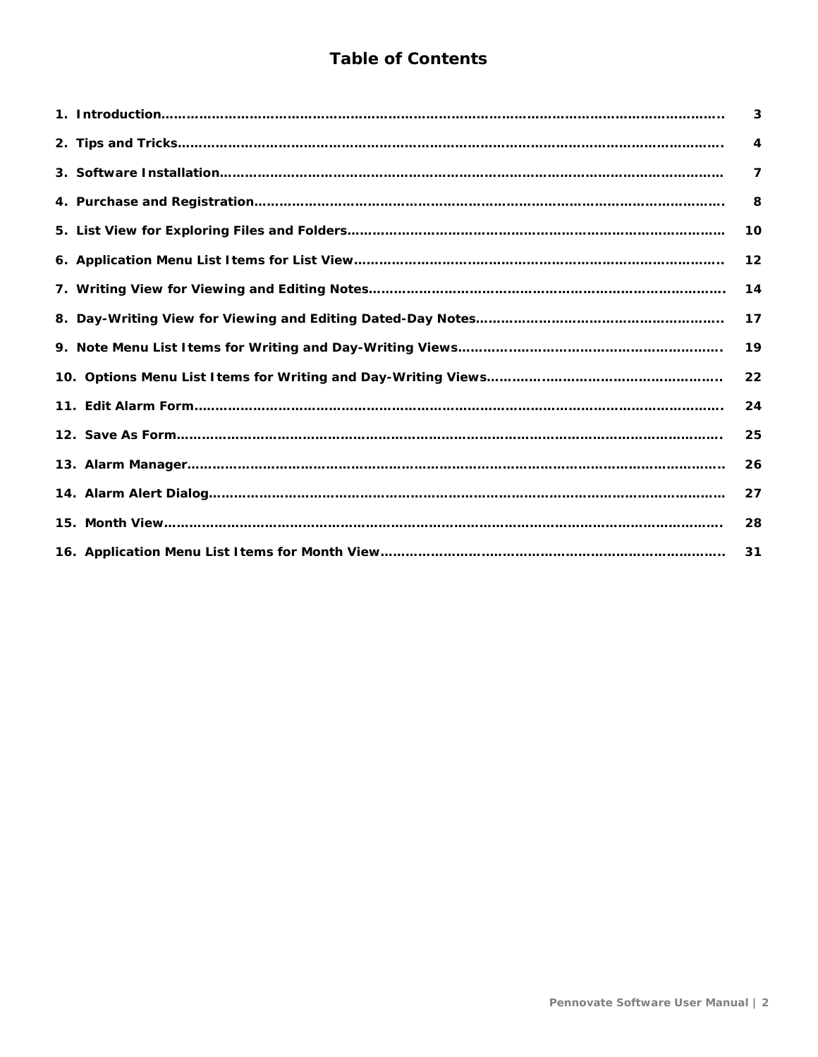# **Table of Contents**

| 3            |
|--------------|
| 4            |
| $\mathbf{7}$ |
| 8            |
| 10           |
| 12           |
| 14           |
| 17           |
| 19           |
| 22           |
| 24           |
| 25           |
| 26           |
| 27           |
| 28           |
| 31           |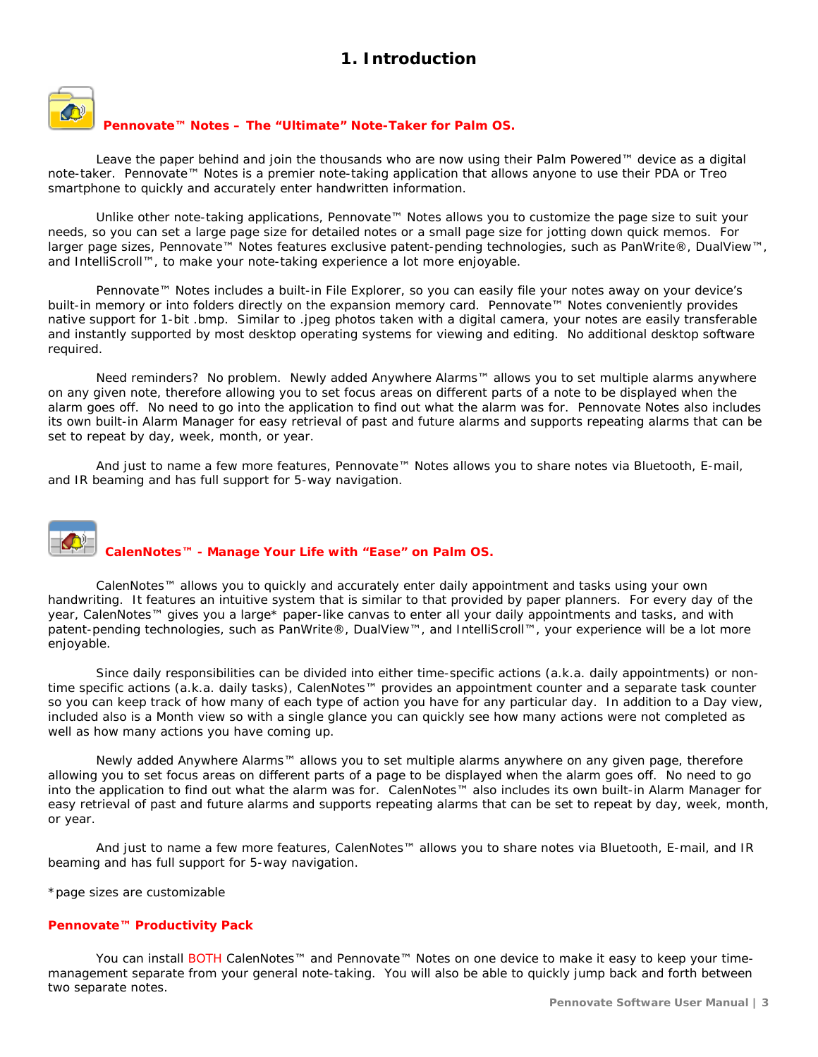# **1. Introduction**

<span id="page-2-0"></span>

#### **Pennovate™ Notes – The "Ultimate" Note-Taker for Palm OS.**

Leave the paper behind and join the thousands who are now using their Palm Powered™ device as a digital note-taker. Pennovate™ Notes is a premier note-taking application that allows anyone to use their PDA or Treo smartphone to quickly and accurately enter handwritten information.

Unlike other note-taking applications, Pennovate™ Notes allows you to customize the page size to suit your needs, so you can set a large page size for detailed notes or a small page size for jotting down quick memos. For larger page sizes, Pennovate™ Notes features exclusive patent-pending technologies, such as PanWrite®, DualView™, and IntelliScroll™, to make your note-taking experience a lot more enjoyable.

Pennovate™ Notes includes a built-in File Explorer, so you can easily file your notes away on your device's built-in memory or into folders directly on the expansion memory card. Pennovate™ Notes conveniently provides native support for 1-bit .bmp. Similar to .jpeg photos taken with a digital camera, your notes are easily transferable and instantly supported by most desktop operating systems for viewing and editing. No additional desktop software required.

Need reminders? No problem. Newly added Anywhere Alarms™ allows you to set multiple alarms anywhere on any given note, therefore allowing you to set focus areas on different parts of a note to be displayed when the alarm goes off. No need to go into the application to find out what the alarm was for. Pennovate Notes also includes its own built-in Alarm Manager for easy retrieval of past and future alarms and supports repeating alarms that can be set to repeat by day, week, month, or year.

And just to name a few more features, Pennovate™ Notes allows you to share notes via Bluetooth, E-mail, and IR beaming and has full support for 5-way navigation.

# **CalenNotes™ - Manage Your Life with "Ease" on Palm OS.**

CalenNotes™ allows you to quickly and accurately enter daily appointment and tasks using your own handwriting. It features an intuitive system that is similar to that provided by paper planners. For every day of the year, CalenNotes™ gives you a large\* paper-like canvas to enter all your daily appointments and tasks, and with patent-pending technologies, such as PanWrite®, DualView™, and IntelliScroll™, your experience will be a lot more enjoyable.

Since daily responsibilities can be divided into either time-specific actions (a.k.a. daily appointments) or nontime specific actions (a.k.a. daily tasks), CalenNotes™ provides an appointment counter and a separate task counter so you can keep track of how many of each type of action you have for any particular day. In addition to a Day view, included also is a Month view so with a single glance you can quickly see how many actions were not completed as well as how many actions you have coming up.

Newly added Anywhere Alarms™ allows you to set multiple alarms anywhere on any given page, therefore allowing you to set focus areas on different parts of a page to be displayed when the alarm goes off. No need to go into the application to find out what the alarm was for. CalenNotes™ also includes its own built-in Alarm Manager for easy retrieval of past and future alarms and supports repeating alarms that can be set to repeat by day, week, month, or year.

And just to name a few more features, CalenNotes™ allows you to share notes via Bluetooth, E-mail, and IR beaming and has full support for 5-way navigation.

\*page sizes are customizable

#### **Pennovate™ Productivity Pack**

You can install BOTH CalenNotes™ and Pennovate™ Notes on one device to make it easy to keep your timemanagement separate from your general note-taking. You will also be able to quickly jump back and forth between two separate notes.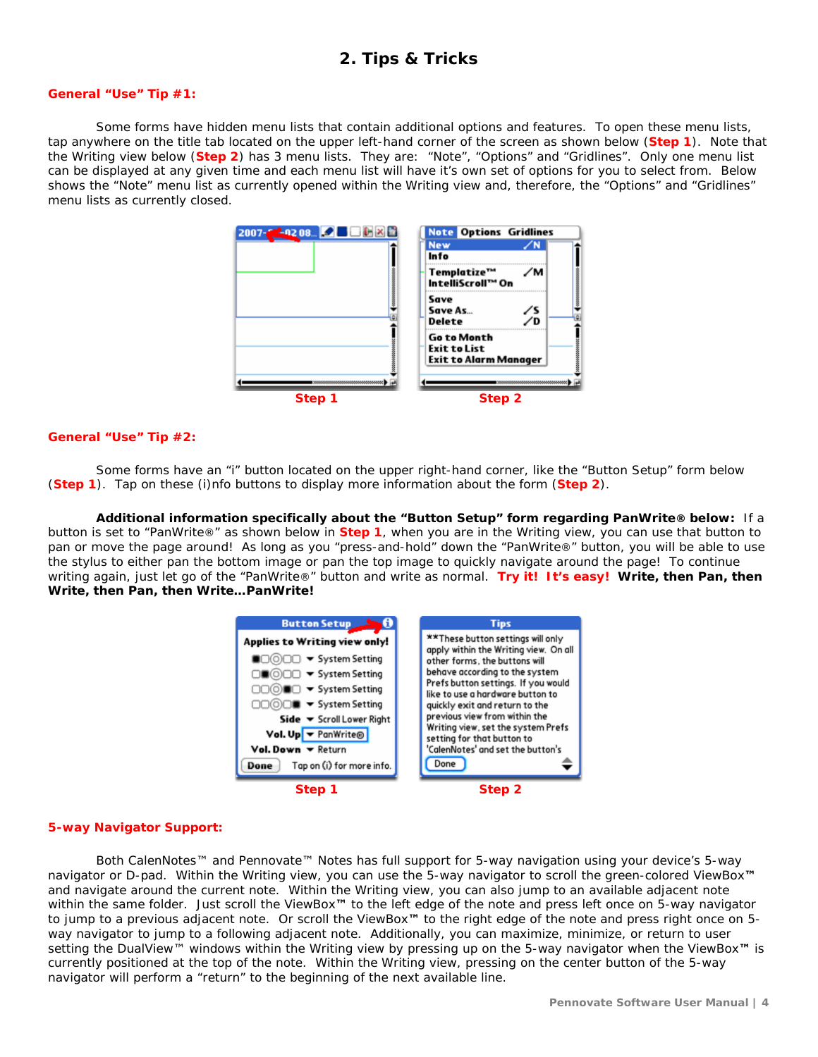## **2. Tips & Tricks**

#### <span id="page-3-0"></span>**General "Use" Tip #1:**

Some forms have hidden menu lists that contain additional options and features. To open these menu lists, tap anywhere on the title tab located on the upper left-hand corner of the screen as shown below (**Step 1**). Note that the Writing view below (**Step 2**) has 3 menu lists. They are: "Note", "Options" and "Gridlines". Only one menu list can be displayed at any given time and each menu list will have it's own set of options for you to select from. Below shows the "Note" menu list as currently opened within the Writing view and, therefore, the "Options" and "Gridlines" menu lists as currently closed.



#### **General "Use" Tip #2:**

Some forms have an "i" button located on the upper right-hand corner, like the "Button Setup" form below (**Step 1**). Tap on these (i)nfo buttons to display more information about the form (**Step 2**).

**Additional information specifically about the "Button Setup" form regarding PanWrite® below:** If a button is set to "PanWrite®" as shown below in **Step 1**, when you are in the Writing view, you can use that button to pan or move the page around! As long as you "press-and-hold" down the "PanWrite®" button, you will be able to use the stylus to either pan the bottom image or pan the top image to quickly navigate around the page! To continue writing again, just let go of the "PanWrite®" button and write as normal. **Try it! It's easy! Write, then Pan, then Write, then Pan, then Write…PanWrite!**



#### **5-way Navigator Support:**

Both CalenNotes™ and Pennovate™ Notes has full support for 5-way navigation using your device's 5-way navigator or D-pad. Within the Writing view, you can use the 5-way navigator to scroll the green-colored ViewBox**™** and navigate around the current note. Within the Writing view, you can also jump to an available adjacent note within the same folder. Just scroll the ViewBox**™** to the left edge of the note and press left once on 5-way navigator to jump to a previous adjacent note. Or scroll the ViewBox**™** to the right edge of the note and press right once on 5 way navigator to jump to a following adjacent note. Additionally, you can maximize, minimize, or return to user setting the DualView™ windows within the Writing view by pressing up on the 5-way navigator when the ViewBox**™** is currently positioned at the top of the note. Within the Writing view, pressing on the center button of the 5-way navigator will perform a "return" to the beginning of the next available line.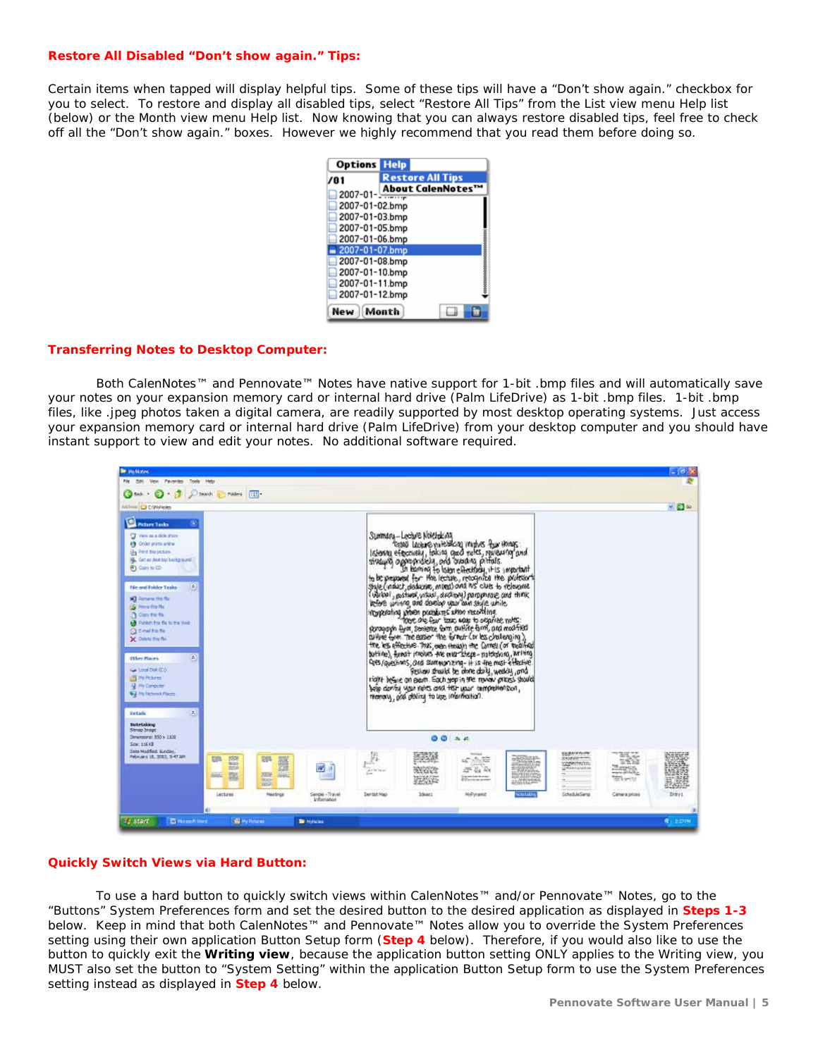#### **Restore All Disabled "Don't show again." Tips:**

Certain items when tapped will display helpful tips. Some of these tips will have a "Don't show again." checkbox for you to select. To restore and display all disabled tips, select "Restore All Tips" from the List view menu Help list (below) or the Month view menu Help list. Now knowing that you can always restore disabled tips, feel free to check off all the "Don't show again." boxes. However we highly recommend that you read them before doing so.

| <b>Options Help</b>              |                         |  |
|----------------------------------|-------------------------|--|
| 701                              | <b>Restore All Tips</b> |  |
| $2007 - 01 - \frac{1000}{1000}$  | <b>About CalenNotes</b> |  |
| 2007-01-02.bmp                   |                         |  |
| 2007-01-03.bmp                   |                         |  |
| 2007-01-05.bmp                   |                         |  |
| 2007-01-06.bmp                   |                         |  |
| 2007-01-07.bmp<br>2007-01-08.bmp |                         |  |
| 2007-01-10.bmp                   |                         |  |
| 2007-01-11.bmp                   |                         |  |
| 2007-01-12.bmp                   |                         |  |
|                                  | Month                   |  |

#### **Transferring Notes to Desktop Computer:**

Both CalenNotes™ and Pennovate™ Notes have native support for 1-bit .bmp files and will automatically save your notes on your expansion memory card or internal hard drive (Palm LifeDrive) as 1-bit .bmp files. 1-bit .bmp files, like .jpeg photos taken a digital camera, are readily supported by most desktop operating systems. Just access your expansion memory card or internal hard drive (Palm LifeDrive) from your desktop computer and you should have instant support to view and edit your notes. No additional software required.



#### **Quickly Switch Views via Hard Button:**

To use a hard button to quickly switch views within CalenNotes™ and/or Pennovate™ Notes, go to the "Buttons" System Preferences form and set the desired button to the desired application as displayed in **Steps 1-3** below. Keep in mind that both CalenNotes™ and Pennovate™ Notes allow you to override the System Preferences setting using their own application Button Setup form (**Step 4** below). Therefore, if you would also like to use the button to quickly exit the **Writing view**, because the application button setting ONLY applies to the Writing view, you MUST also set the button to "System Setting" within the application Button Setup form to use the System Preferences setting instead as displayed in **Step 4** below.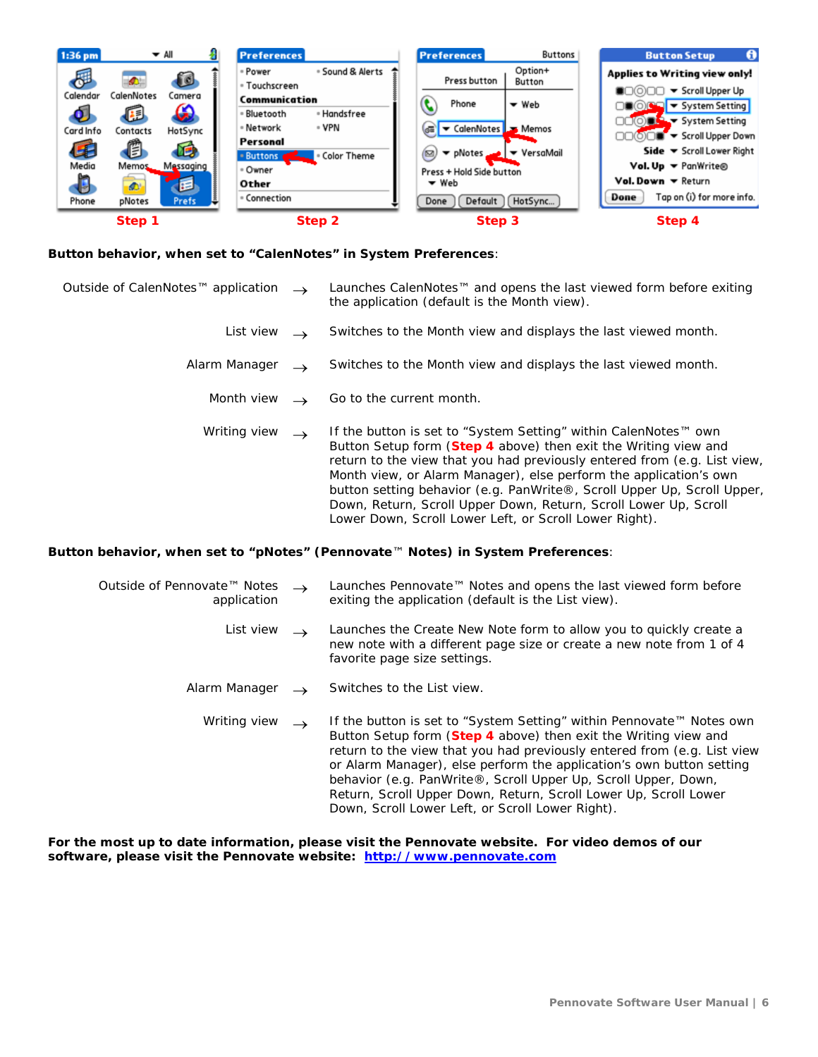

#### **Button behavior, when set to "CalenNotes" in System Preferences**:

| Outside of CalenNotes™ application | $\rightarrow$ | Launches CalenNotes™ and opens the last viewed form before exiting<br>the application (default is the Month view).                                                                                                                                                                  |
|------------------------------------|---------------|-------------------------------------------------------------------------------------------------------------------------------------------------------------------------------------------------------------------------------------------------------------------------------------|
| List view                          |               | Switches to the Month view and displays the last viewed month.                                                                                                                                                                                                                      |
| Alarm Manager                      |               | Switches to the Month view and displays the last viewed month.                                                                                                                                                                                                                      |
| Month view                         |               | Go to the current month.                                                                                                                                                                                                                                                            |
| Writing view                       | $\rightarrow$ | If the button is set to "System Setting" within CalenNotes™ own<br>Button Setup form (Step 4 above) then exit the Writing view and<br>return to the view that you had previously entered from (e.g. List view,<br>Month view, or Alarm Manager), else perform the application's own |

#### **Button behavior, when set to "pNotes" (Pennovate**™ **Notes) in System Preferences**:

| Outside of Pennovate™ Notes | Launches Pennovate <sup>™</sup> Notes and opens the last viewed form before |
|-----------------------------|-----------------------------------------------------------------------------|
| application                 | exiting the application (default is the List view).                         |

List view  $\rightarrow$  Launches the Create New Note form to allow you to quickly create a new note with a different page size or create a new note from 1 of 4 favorite page size settings.

Lower Down, Scroll Lower Left, or Scroll Lower Right).

button setting behavior (e.g. PanWrite®, Scroll Upper Up, Scroll Upper, Down, Return, Scroll Upper Down, Return, Scroll Lower Up, Scroll

- Alarm Manager  $\rightarrow$  Switches to the List view.
	- Writing view → If the button is set to "System Setting" within Pennovate™ Notes own Button Setup form (**Step 4** above) then exit the Writing view and return to the view that you had previously entered from (e.g. List view or Alarm Manager), else perform the application's own button setting behavior (e.g. PanWrite®, Scroll Upper Up, Scroll Upper, Down, Return, Scroll Upper Down, Return, Scroll Lower Up, Scroll Lower Down, Scroll Lower Left, or Scroll Lower Right).

**For the most up to date information, please visit the Pennovate website. For video demos of our software, please visit the Pennovate website: [http://www.pennovate.com](http://www.pennovate.com/)**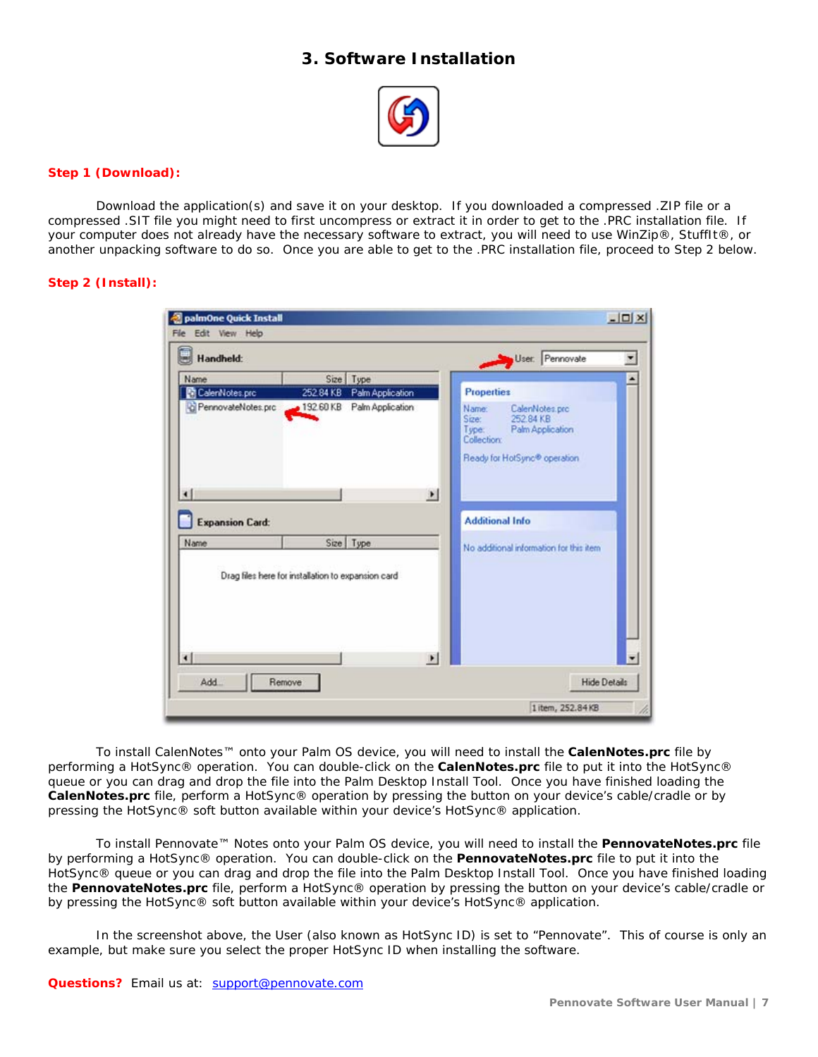# **3. Software Installation**



#### <span id="page-6-0"></span>**Step 1 (Download):**

Download the application(s) and save it on your desktop. If you downloaded a compressed .ZIP file or a compressed .SIT file you might need to first uncompress or extract it in order to get to the .PRC installation file. If your computer does not already have the necessary software to extract, you will need to use WinZip®, StuffIt®, or another unpacking software to do so. Once you are able to get to the .PRC installation file, proceed to Step 2 below.

#### **Step 2 (Install):**

|                           |                                                                             | User: Pennovate                                                                                                          |
|---------------------------|-----------------------------------------------------------------------------|--------------------------------------------------------------------------------------------------------------------------|
| Name                      | Size Type                                                                   |                                                                                                                          |
| CalenNotes.prc            | 252.84 KB Palm Application                                                  | <b>Properties</b>                                                                                                        |
| C PennovateNotes.prc<br>⊣ | 192.60 KB<br>Palm Application<br>$\blacktriangleright$                      | Name:<br>CalenNotes.prc<br>252.84 KB<br>Sizer<br>Palm Application<br>Type:<br>Collection<br>Ready for HotSync® operation |
| <b>Expansion Card:</b>    |                                                                             | <b>Additional Info</b>                                                                                                   |
| Name                      | Size Type                                                                   | No additional information for this item.                                                                                 |
| $\left  \cdot \right $    | Drag files here for installation to expansion card<br>$\blacktriangleright$ |                                                                                                                          |

To install CalenNotes™ onto your Palm OS device, you will need to install the **CalenNotes.prc** file by performing a HotSync® operation. You can double-click on the **CalenNotes.prc** file to put it into the HotSync® queue or you can drag and drop the file into the Palm Desktop Install Tool. Once you have finished loading the **CalenNotes.prc** file, perform a HotSync® operation by pressing the button on your device's cable/cradle or by pressing the HotSync® soft button available within your device's HotSync® application.

To install Pennovate™ Notes onto your Palm OS device, you will need to install the **PennovateNotes.prc** file by performing a HotSync® operation. You can double-click on the **PennovateNotes.prc** file to put it into the HotSync® queue or you can drag and drop the file into the Palm Desktop Install Tool. Once you have finished loading the **PennovateNotes.prc** file, perform a HotSync® operation by pressing the button on your device's cable/cradle or by pressing the HotSync® soft button available within your device's HotSync® application.

In the screenshot above, the User (also known as HotSync ID) is set to "Pennovate". This of course is only an example, but make sure you select the proper HotSync ID when installing the software.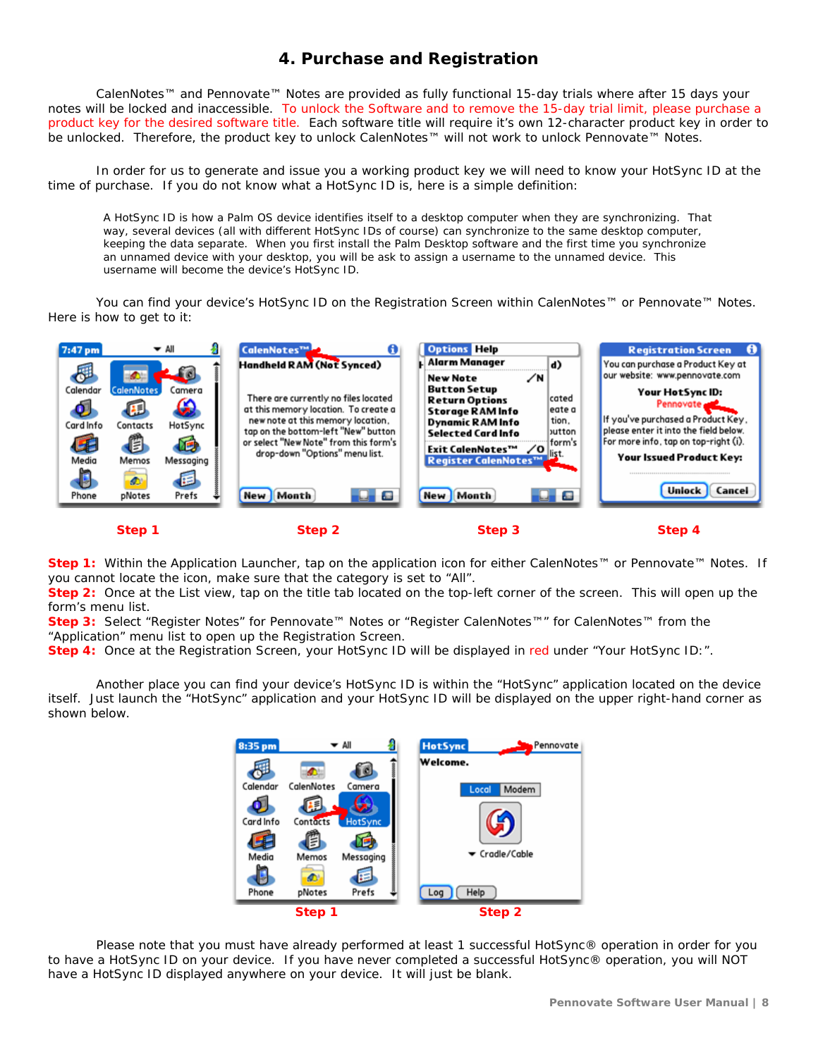# **4. Purchase and Registration**

<span id="page-7-0"></span>CalenNotes™ and Pennovate™ Notes are provided as fully functional 15-day trials where after 15 days your notes will be locked and inaccessible. To unlock the Software and to remove the 15-day trial limit, please purchase a product key for the desired software title. Each software title will require it's own 12-character product key in order to be unlocked. Therefore, the product key to unlock CalenNotes™ will not work to unlock Pennovate™ Notes.

In order for us to generate and issue you a working product key we will need to know your HotSync ID at the time of purchase. If you do not know what a HotSync ID is, here is a simple definition:

A HotSync ID is how a Palm OS device identifies itself to a desktop computer when they are synchronizing. That way, several devices (all with different HotSync IDs of course) can synchronize to the same desktop computer, keeping the data separate. When you first install the Palm Desktop software and the first time you synchronize an unnamed device with your desktop, you will be ask to assign a username to the unnamed device. This username will become the device's HotSync ID.

You can find your device's HotSync ID on the Registration Screen within CalenNotes™ or Pennovate™ Notes. Here is how to get to it:



**Step 1:** Within the Application Launcher, tap on the application icon for either CalenNotes™ or Pennovate™ Notes. If you cannot locate the icon, make sure that the category is set to "All".

**Step 2:** Once at the List view, tap on the title tab located on the top-left corner of the screen. This will open up the form's menu list.

Step 3: Select "Register Notes" for Pennovate™ Notes or "Register CalenNotes™" for CalenNotes™ from the "Application" menu list to open up the Registration Screen.

**Step 4:** Once at the Registration Screen, your HotSync ID will be displayed in red under "Your HotSync ID:".

Another place you can find your device's HotSync ID is within the "HotSync" application located on the device itself. Just launch the "HotSync" application and your HotSync ID will be displayed on the upper right-hand corner as shown below.

| 8:35 pm   |            | $\blacktriangledown$ All | <b>HotSync</b><br>Pennovate |
|-----------|------------|--------------------------|-----------------------------|
|           | Φ          |                          | Welcome.                    |
| Calendar  | CalenNotes | Camera                   | Modem<br>Local              |
|           | ١F         |                          |                             |
| Card Info | Contacts   | HotSync                  |                             |
|           |            |                          |                             |
| Media     | Memos      | Messaging                | ▼ Cradle/Cable              |
|           | Ø          | 戸                        |                             |
| Phone     | pNotes     | Prefs                    | Help<br>Log                 |
|           | Step 1     |                          | Step 2                      |

Please note that you must have already performed at least 1 successful HotSync® operation in order for you to have a HotSync ID on your device. If you have never completed a successful HotSync® operation, you will NOT have a HotSync ID displayed anywhere on your device. It will just be blank.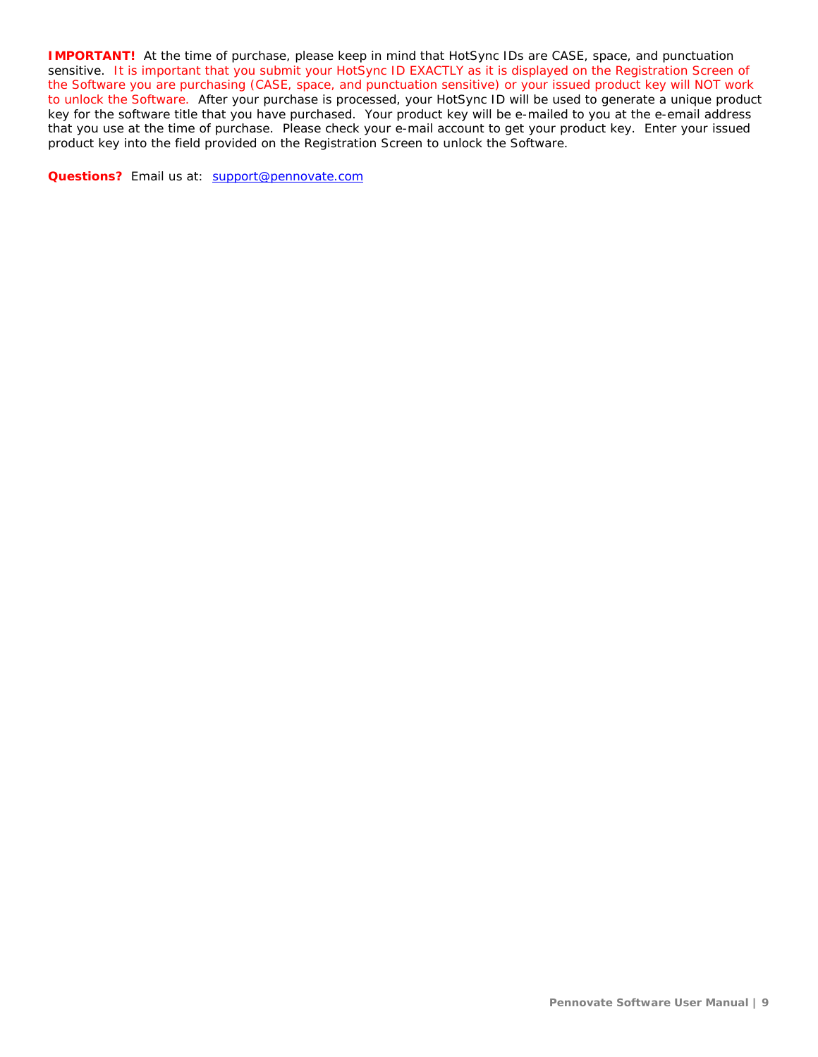**IMPORTANT!** At the time of purchase, please keep in mind that HotSync IDs are CASE, space, and punctuation sensitive. It is important that you submit your HotSync ID EXACTLY as it is displayed on the Registration Screen of the Software you are purchasing (CASE, space, and punctuation sensitive) or your issued product key will NOT work to unlock the Software. After your purchase is processed, your HotSync ID will be used to generate a unique product key for the software title that you have purchased. Your product key will be e-mailed to you at the e-email address that you use at the time of purchase. Please check your e-mail account to get your product key. Enter your issued product key into the field provided on the Registration Screen to unlock the Software.

**Questions?** Email us at: [support@pennovate.com](mailto:support@pennovate.com)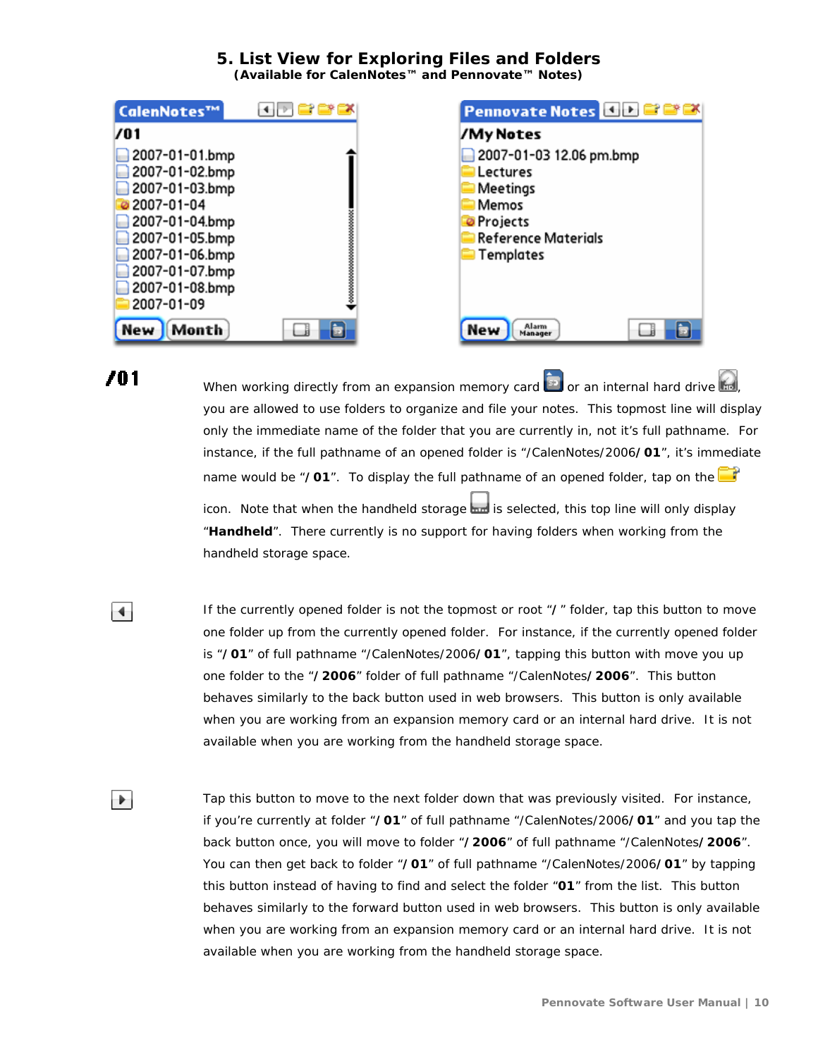#### **5. List View for Exploring Files and Folders (Available for CalenNotes™ and Pennovate™ Notes)**

<span id="page-9-0"></span>

| CalenNotes™    | ◂⊓◘◘™                                 | <b>Pennovate Notes de BBC</b> |
|----------------|---------------------------------------|-------------------------------|
| 701            |                                       | /My Notes                     |
| 2007-01-01.bmp |                                       | 2007-01-03 12.06 pm.bmp       |
| 2007-01-02.bmp |                                       | Lectures                      |
| 2007-01-03.bmp |                                       | Meetings                      |
| 2007-01-04     |                                       | Memos                         |
| 2007-01-04.bmp | ,,,,,,,,,,,,,,,,,,,,,,,,,,,,,,,,,,,,, | <b>O</b> Projects             |
| 2007-01-05.bmp |                                       | <b>Reference Materials</b>    |
| 2007-01-06.bmp |                                       | Templates                     |
| 2007-01-07.bmp |                                       |                               |
| 2007-01-08.bmp |                                       |                               |
| 2007-01-09     |                                       |                               |
| Month<br>New   |                                       | Alarm<br>New<br>Manager       |

701

 $\overline{\phantom{0}}$ 

 $\blacktriangleright$ 

When working directly from an expansion memory card  $\Box$  or an internal hard drive  $\Box$ you are allowed to use folders to organize and file your notes. This topmost line will display only the immediate name of the folder that you are currently in, not it's full pathname. For instance, if the full pathname of an opened folder is "/CalenNotes/2006**/01**", it's immediate name would be "**/01**". To display the full pathname of an opened folder, tap on the

icon. Note that when the handheld storage in is selected, this top line will only display "**Handheld**". There currently is no support for having folders when working from the handheld storage space.

If the currently opened folder is not the topmost or root "**/**" folder, tap this button to move one folder up from the currently opened folder. For instance, if the currently opened folder is "**/01**" of full pathname "/CalenNotes/2006**/01**", tapping this button with move you up one folder to the "**/2006**" folder of full pathname "/CalenNotes**/2006**". This button behaves similarly to the back button used in web browsers. This button is only available when you are working from an expansion memory card or an internal hard drive. It is not available when you are working from the handheld storage space.

Tap this button to move to the next folder down that was previously visited. For instance, if you're currently at folder "**/01**" of full pathname "/CalenNotes/2006**/01**" and you tap the back button once, you will move to folder "**/2006**" of full pathname "/CalenNotes**/2006**". You can then get back to folder "**/01**" of full pathname "/CalenNotes/2006**/01**" by tapping this button instead of having to find and select the folder "**01**" from the list. This button behaves similarly to the forward button used in web browsers. This button is only available when you are working from an expansion memory card or an internal hard drive. It is not available when you are working from the handheld storage space.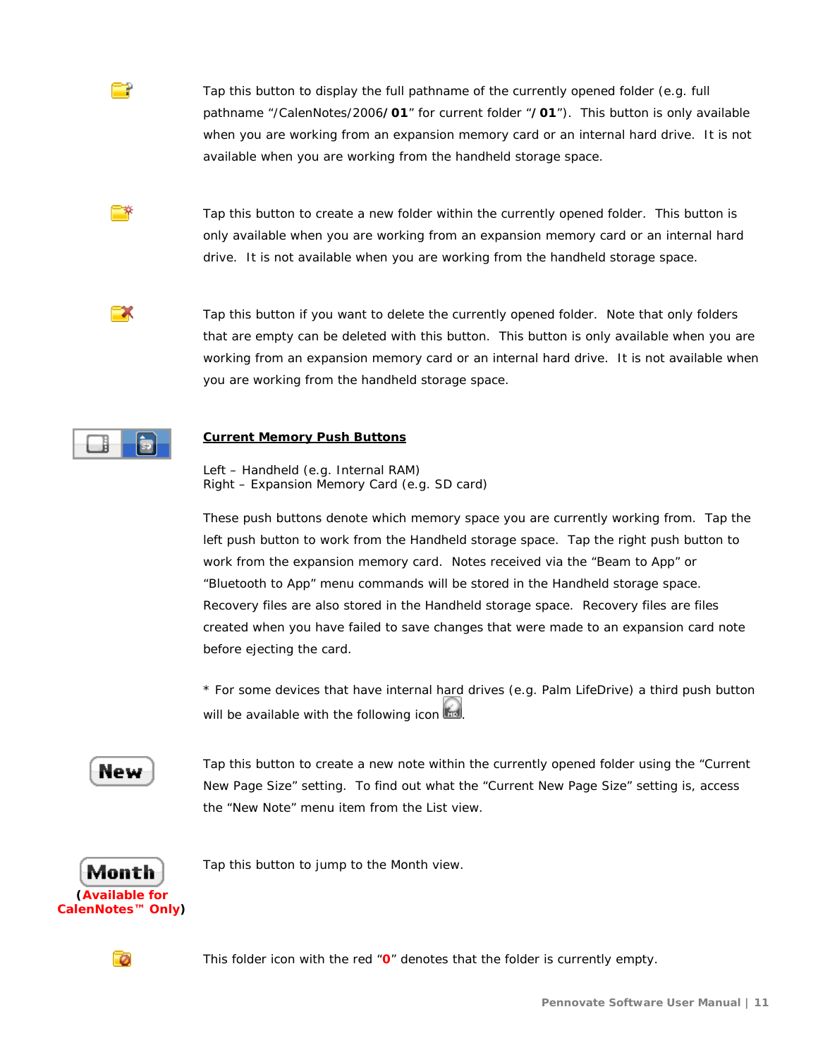

Tap this button to create a new folder within the currently opened folder. This button is only available when you are working from an expansion memory card or an internal hard drive. It is not available when you are working from the handheld storage space.

Tap this button if you want to delete the currently opened folder. Note that only folders that are empty can be deleted with this button. This button is only available when you are working from an expansion memory card or an internal hard drive. It is not available when you are working from the handheld storage space.



∍

™

EX

#### **Current Memory Push Buttons**

Left – Handheld (e.g. Internal RAM) Right – Expansion Memory Card (e.g. SD card)

These push buttons denote which memory space you are currently working from. Tap the left push button to work from the Handheld storage space. Tap the right push button to work from the expansion memory card. Notes received via the "Beam to App" or "Bluetooth to App" menu commands will be stored in the Handheld storage space. Recovery files are also stored in the Handheld storage space. Recovery files are files created when you have failed to save changes that were made to an expansion card note before ejecting the card.

\* For some devices that have internal hard drives (e.g. Palm LifeDrive) a third push button will be available with the following icon



Tap this button to create a new note within the currently opened folder using the "Current New Page Size" setting. To find out what the "Current New Page Size" setting is, access the "New Note" menu item from the List view.



Tap this button to jump to the Month view.



This folder icon with the red "**0**" denotes that the folder is currently empty.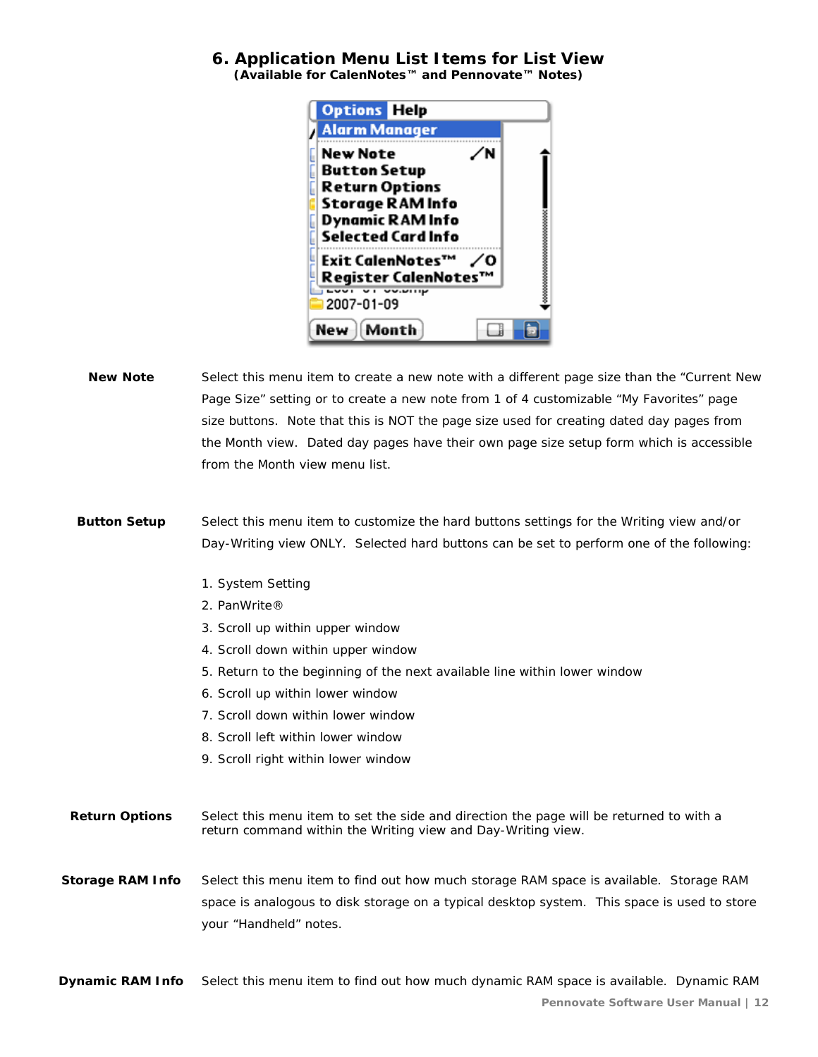#### <span id="page-11-0"></span>**6. Application Menu List Items for List View (Available for CalenNotes™ and Pennovate™ Notes)**

| <b>Options Help</b>                              |  |
|--------------------------------------------------|--|
| <b>Alarm Manager</b>                             |  |
| <b>New Note</b><br>N<br><b>Button Setup</b>      |  |
| <b>Return Options</b><br><b>Storage RAM Info</b> |  |
| <b>Dynamic RAM Info</b>                          |  |
| <b>Selected Card Info</b><br>Exit CalenNotes™    |  |
| ∦Register CalenNotes™                            |  |
| 2007-01-09                                       |  |
| Month<br>New                                     |  |

- **New Note** Select this menu item to create a new note with a different page size than the "Current New Page Size" setting or to create a new note from 1 of 4 customizable "My Favorites" page size buttons. Note that this is NOT the page size used for creating dated day pages from the Month view. Dated day pages have their own page size setup form which is accessible from the Month view menu list.
- **Button Setup** Select this menu item to customize the hard buttons settings for the Writing view and/or Day-Writing view ONLY. Selected hard buttons can be set to perform one of the following:
	- 1. System Setting
	- 2. PanWrite®
	- 3. Scroll up within upper window
	- 4. Scroll down within upper window
	- 5. Return to the beginning of the next available line within lower window
	- 6. Scroll up within lower window
	- 7. Scroll down within lower window
	- 8. Scroll left within lower window
	- 9. Scroll right within lower window
- **Return Options** Select this menu item to set the side and direction the page will be returned to with a return command within the Writing view and Day-Writing view.
- **Storage RAM Info** Select this menu item to find out how much storage RAM space is available. Storage RAM space is analogous to disk storage on a typical desktop system. This space is used to store your "Handheld" notes.

**Dynamic RAM Info** Select this menu item to find out how much dynamic RAM space is available. Dynamic RAM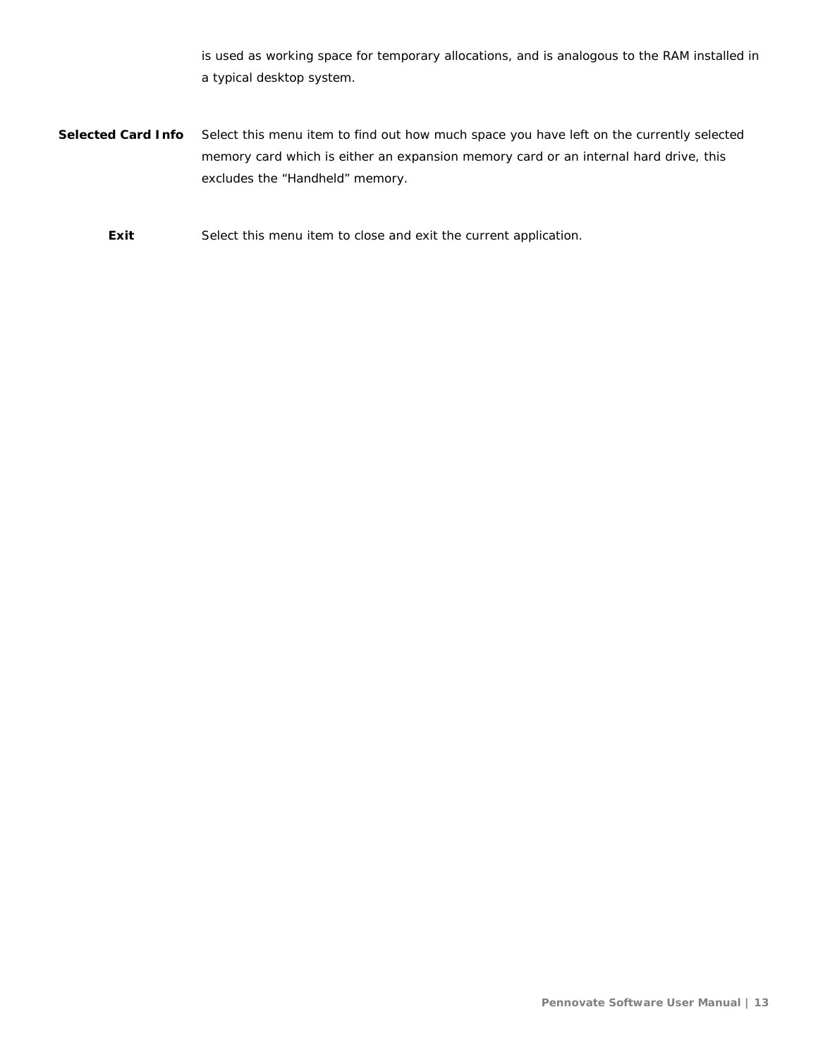is used as working space for temporary allocations, and is analogous to the RAM installed in a typical desktop system.

**Selected Card Info** Select this menu item to find out how much space you have left on the currently selected memory card which is either an expansion memory card or an internal hard drive, this excludes the "Handheld" memory.

**Exit** Select this menu item to close and exit the current application.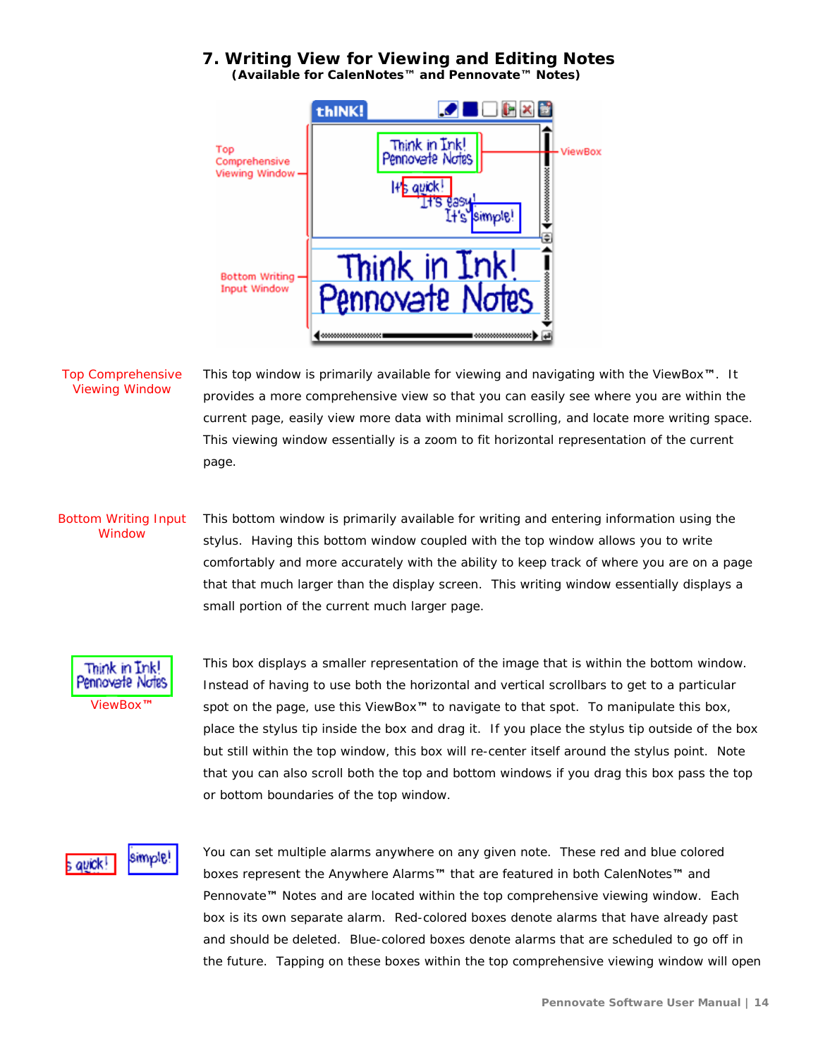#### <span id="page-13-0"></span>**7. Writing View for Viewing and Editing Notes (Available for CalenNotes™ and Pennovate™ Notes)**



#### Top Comprehensive Viewing Window

This top window is primarily available for viewing and navigating with the ViewBox**™**. It provides a more comprehensive view so that you can easily see where you are within the current page, easily view more data with minimal scrolling, and locate more writing space. This viewing window essentially is a zoom to fit horizontal representation of the current page.

#### Bottom Writing Input Window This bottom window is primarily available for writing and entering information using the stylus. Having this bottom window coupled with the top window allows you to write comfortably and more accurately with the ability to keep track of where you are on a page that that much larger than the display screen. This writing window essentially displays a small portion of the current much larger page.



This box displays a smaller representation of the image that is within the bottom window. Instead of having to use both the horizontal and vertical scrollbars to get to a particular spot on the page, use this ViewBox**™** to navigate to that spot. To manipulate this box, place the stylus tip inside the box and drag it. If you place the stylus tip outside of the box but still within the top window, this box will re-center itself around the stylus point. Note that you can also scroll both the top and bottom windows if you drag this box pass the top or bottom boundaries of the top window.

#### simple! s avick!

You can set multiple alarms anywhere on any given note. These red and blue colored boxes represent the Anywhere Alarms**™** that are featured in both CalenNotes**™** and Pennovate**™** Notes and are located within the top comprehensive viewing window. Each box is its own separate alarm. Red-colored boxes denote alarms that have already past and should be deleted. Blue-colored boxes denote alarms that are scheduled to go off in the future. Tapping on these boxes within the top comprehensive viewing window will open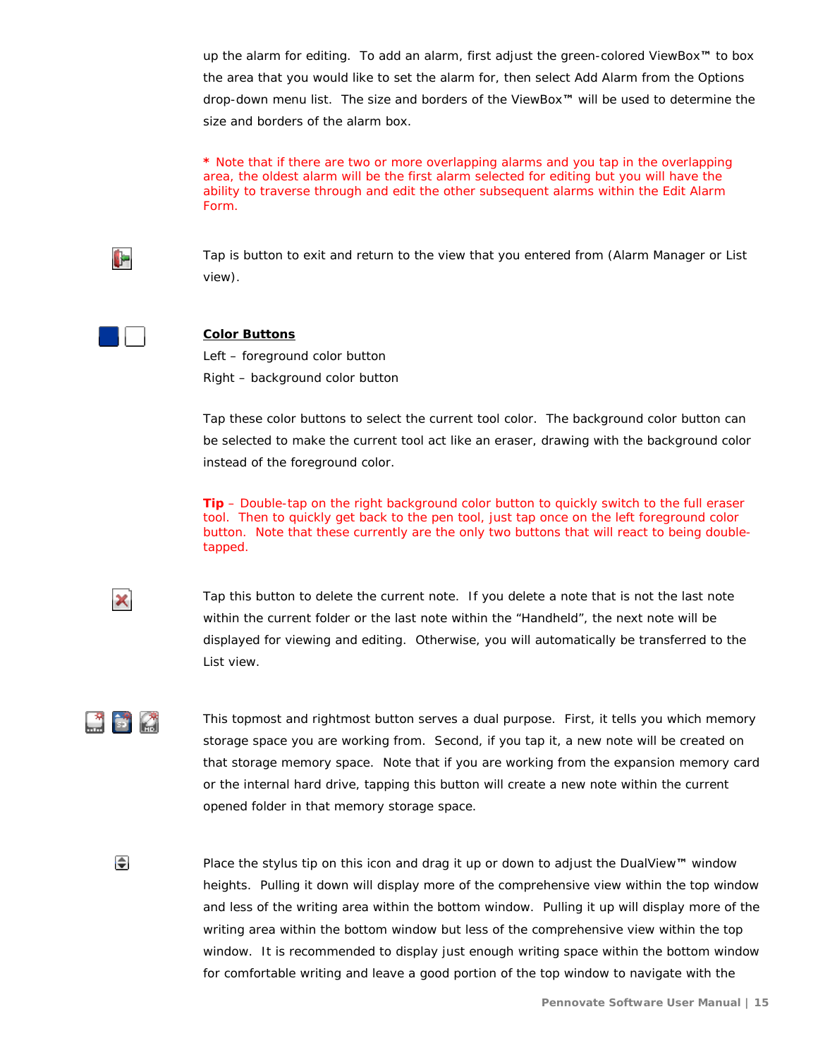up the alarm for editing. To add an alarm, first adjust the green-colored ViewBox**™** to box the area that you would like to set the alarm for, then select Add Alarm from the Options drop-down menu list. The size and borders of the ViewBox**™** will be used to determine the size and borders of the alarm box.

**\*** Note that if there are two or more overlapping alarms and you tap in the overlapping area, the oldest alarm will be the first alarm selected for editing but you will have the ability to traverse through and edit the other subsequent alarms within the Edit Alarm Form.



Tap is button to exit and return to the view that you entered from (Alarm Manager or List view).



#### **Color Buttons**

Left – foreground color button Right – background color button

Tap these color buttons to select the current tool color. The background color button can be selected to make the current tool act like an eraser, drawing with the background color instead of the foreground color.

**Tip** – Double-tap on the right background color button to quickly switch to the full eraser tool. Then to quickly get back to the pen tool, just tap once on the left foreground color button. Note that these currently are the only two buttons that will react to being doubletapped.



Tap this button to delete the current note. If you delete a note that is not the last note within the current folder or the last note within the "Handheld", the next note will be displayed for viewing and editing. Otherwise, you will automatically be transferred to the List view.

 This topmost and rightmost button serves a dual purpose. First, it tells you which memory storage space you are working from. Second, if you tap it, a new note will be created on that storage memory space. Note that if you are working from the expansion memory card or the internal hard drive, tapping this button will create a new note within the current opened folder in that memory storage space.

⊫

Place the stylus tip on this icon and drag it up or down to adjust the DualView**™** window heights. Pulling it down will display more of the comprehensive view within the top window and less of the writing area within the bottom window. Pulling it up will display more of the writing area within the bottom window but less of the comprehensive view within the top window. It is recommended to display just enough writing space within the bottom window for comfortable writing and leave a good portion of the top window to navigate with the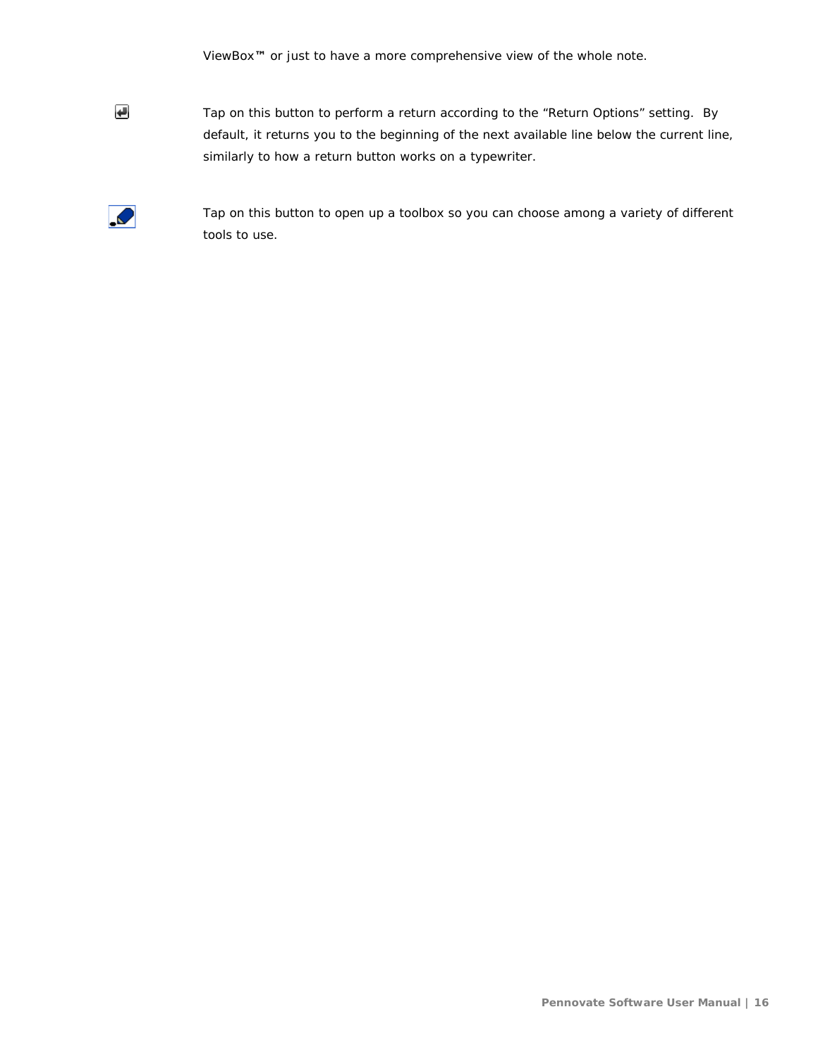ViewBox**™** or just to have a more comprehensive view of the whole note.

Tap on this button to perform a return according to the "Return Options" setting. By default, it returns you to the beginning of the next available line below the current line, similarly to how a return button works on a typewriter.



 $\overline{\mathbf{t}}$ 

Tap on this button to open up a toolbox so you can choose among a variety of different tools to use.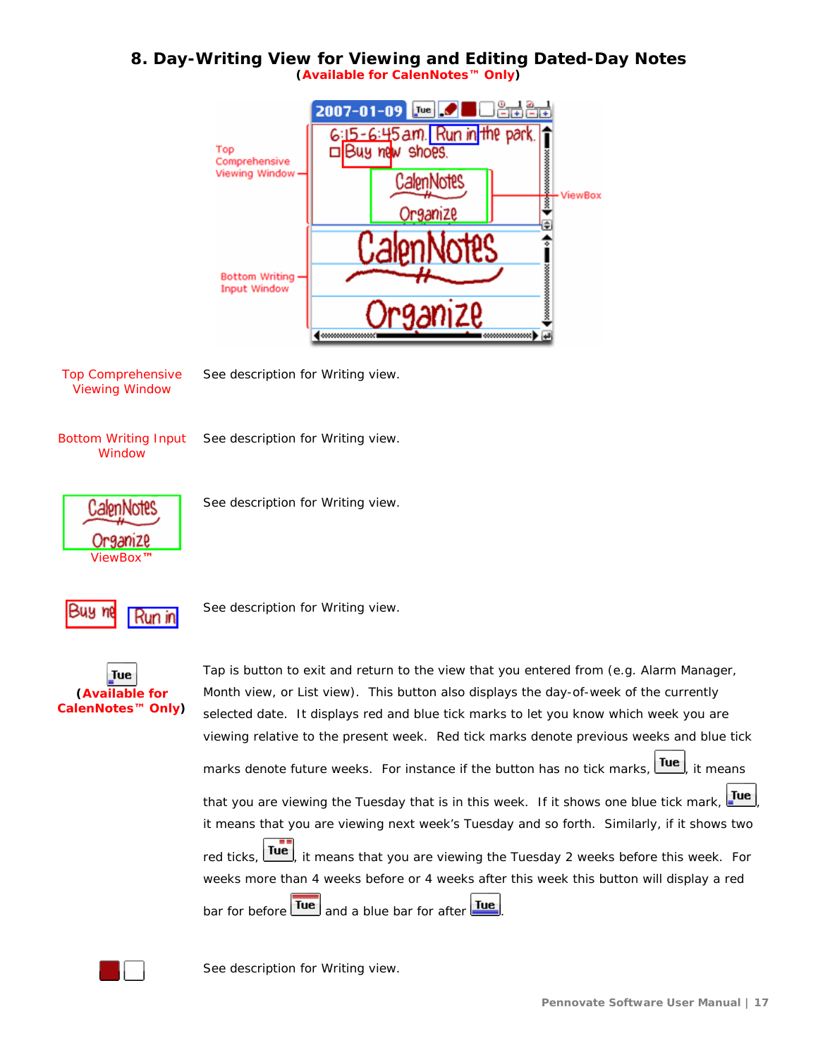# <span id="page-16-0"></span>**8. Day-Writing View for Viewing and Editing Dated-Day Notes**

**(Available for CalenNotes™ Only)**



Top Comprehensive Viewing Window

See description for Writing view.

Bottom Writing Input **Window** 

See description for Writing view.



See description for Writing view.



**Run in** See description for Writing view.



Tap is button to exit and return to the view that you entered from (e.g. Alarm Manager, Month view, or List view). This button also displays the day-of-week of the currently selected date. It displays red and blue tick marks to let you know which week you are viewing relative to the present week. Red tick marks denote previous weeks and blue tick marks denote future weeks. For instance if the button has no tick marks, Tue, it means that you are viewing the Tuesday that is in this week. If it shows one blue tick mark,  $\frac{du}{du}$ it means that you are viewing next week's Tuesday and so forth. Similarly, if it shows two red ticks,  $\frac{Tue}{dx}$ , it means that you are viewing the Tuesday 2 weeks before this week. For weeks more than 4 weeks before or 4 weeks after this week this button will display a red bar for before  $\boxed{\text{true}}$  and a blue bar for after  $\boxed{\text{true}}$ 



See description for Writing view.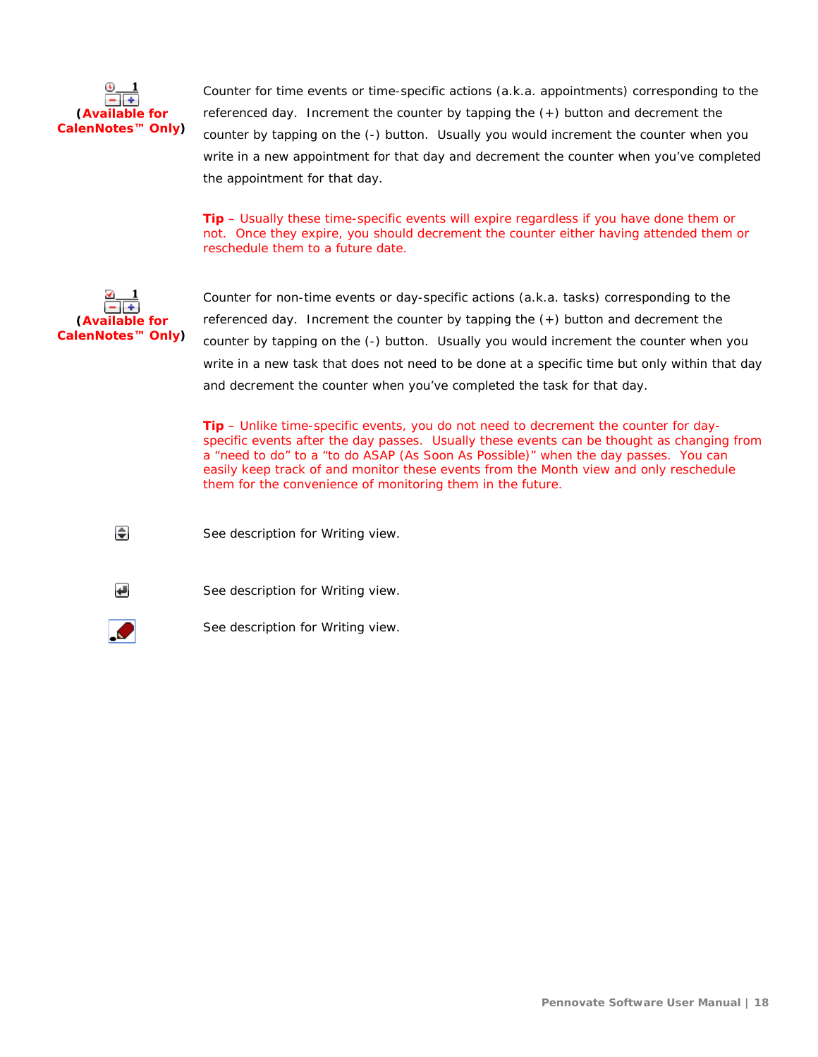

Counter for time events or time-specific actions (a.k.a. appointments) corresponding to the referenced day. Increment the counter by tapping the (+) button and decrement the counter by tapping on the (-) button. Usually you would increment the counter when you write in a new appointment for that day and decrement the counter when you've completed the appointment for that day.

**Tip** – Usually these time-specific events will expire regardless if you have done them or not. Once they expire, you should decrement the counter either having attended them or reschedule them to a future date.



Counter for non-time events or day-specific actions (a.k.a. tasks) corresponding to the referenced day. Increment the counter by tapping the (+) button and decrement the counter by tapping on the (-) button. Usually you would increment the counter when you write in a new task that does not need to be done at a specific time but only within that day and decrement the counter when you've completed the task for that day.

**Tip** – Unlike time-specific events, you do not need to decrement the counter for dayspecific events after the day passes. Usually these events can be thought as changing from a "need to do" to a "to do ASAP (As Soon As Possible)" when the day passes. You can easily keep track of and monitor these events from the Month view and only reschedule them for the convenience of monitoring them in the future.

See description for Writing view.



€

See description for Writing view.



See description for Writing view.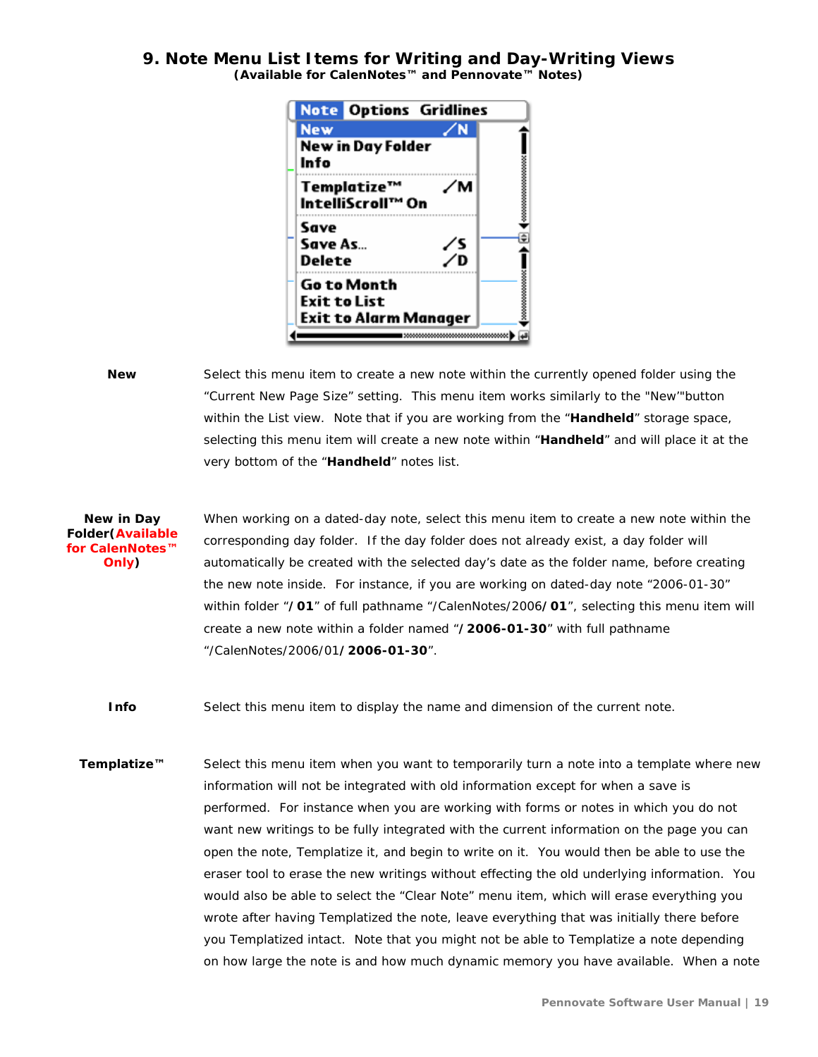#### <span id="page-18-0"></span>**9. Note Menu List Items for Writing and Day-Writing Views (Available for CalenNotes™ and Pennovate™ Notes)**



**New** Select this menu item to create a new note within the currently opened folder using the "Current New Page Size" setting. This menu item works similarly to the "New'"button within the List view. Note that if you are working from the "**Handheld**" storage space, selecting this menu item will create a new note within "**Handheld**" and will place it at the very bottom of the "**Handheld**" notes list.

**New in Day Folder(Available for CalenNotes™ Only)** When working on a dated-day note, select this menu item to create a new note within the corresponding day folder. If the day folder does not already exist, a day folder will automatically be created with the selected day's date as the folder name, before creating the new note inside. For instance, if you are working on dated-day note "2006-01-30" within folder "**/01**" of full pathname "/CalenNotes/2006**/01**", selecting this menu item will create a new note within a folder named "**/2006-01-30**" with full pathname "/CalenNotes/2006/01**/2006-01-30**".

**Info** Select this menu item to display the name and dimension of the current note.

**Templatize™** Select this menu item when you want to temporarily turn a note into a template where new information will not be integrated with old information except for when a save is performed. For instance when you are working with forms or notes in which you do not want new writings to be fully integrated with the current information on the page you can open the note, Templatize it, and begin to write on it. You would then be able to use the eraser tool to erase the new writings without effecting the old underlying information. You would also be able to select the "Clear Note" menu item, which will erase everything you wrote after having Templatized the note, leave everything that was initially there before you Templatized intact. Note that you might not be able to Templatize a note depending on how large the note is and how much dynamic memory you have available. When a note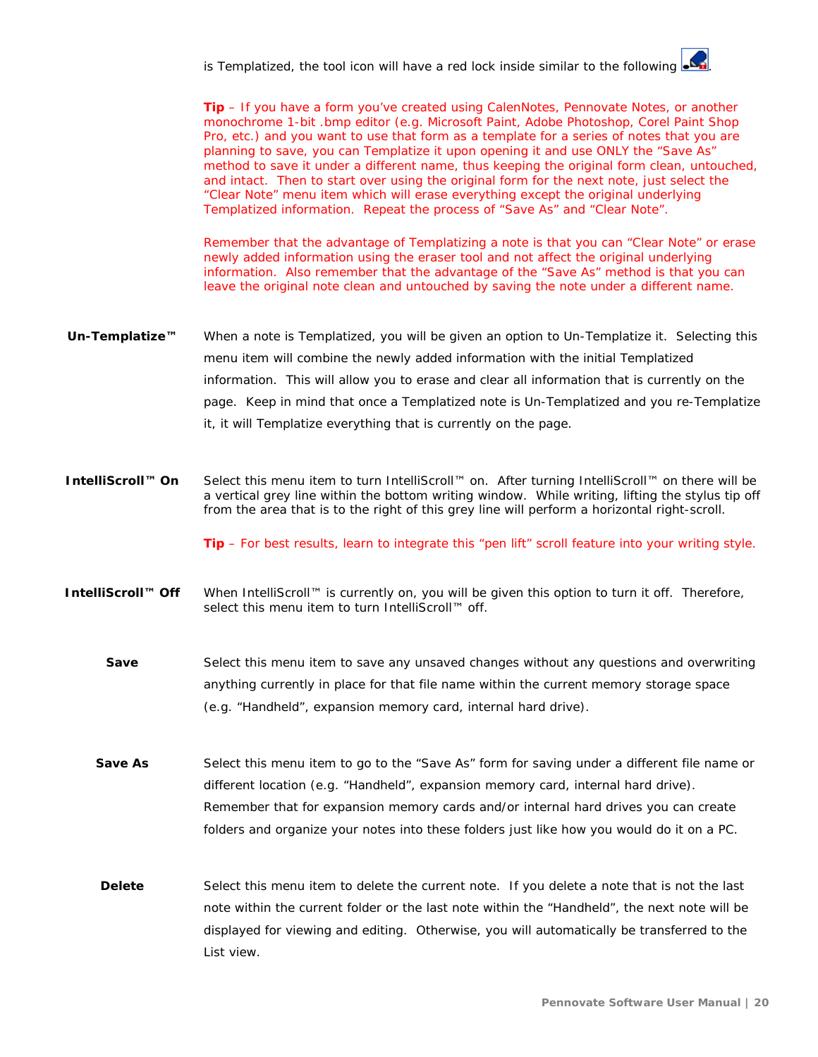is Templatized, the tool icon will have a red lock inside similar to the followino

**Tip** – If you have a form you've created using CalenNotes, Pennovate Notes, or another monochrome 1-bit .bmp editor (e.g. Microsoft Paint, Adobe Photoshop, Corel Paint Shop Pro, etc.) and you want to use that form as a template for a series of notes that you are planning to save, you can Templatize it upon opening it and use ONLY the "Save As" method to save it under a different name, thus keeping the original form clean, untouched, and intact. Then to start over using the original form for the next note, just select the "Clear Note" menu item which will erase everything except the original underlying Templatized information. Repeat the process of "Save As" and "Clear Note".

Remember that the advantage of Templatizing a note is that you can "Clear Note" or erase newly added information using the eraser tool and not affect the original underlying information. Also remember that the advantage of the "Save As" method is that you can leave the original note clean and untouched by saving the note under a different name.

- **Un-Templatize™** When a note is Templatized, you will be given an option to Un-Templatize it. Selecting this menu item will combine the newly added information with the initial Templatized information. This will allow you to erase and clear all information that is currently on the page. Keep in mind that once a Templatized note is Un-Templatized and you re-Templatize it, it will Templatize everything that is currently on the page.
- **IntelliScroll™ On** Select this menu item to turn IntelliScroll™ on. After turning IntelliScroll™ on there will be a vertical grey line within the bottom writing window. While writing, lifting the stylus tip off from the area that is to the right of this grey line will perform a horizontal right-scroll.

**Tip** – For best results, learn to integrate this "pen lift" scroll feature into your writing style.

- **IntelliScroll™ Off** When IntelliScroll™ is currently on, you will be given this option to turn it off. Therefore, select this menu item to turn IntelliScroll™ off.
	- **Save** Select this menu item to save any unsaved changes without any questions and overwriting anything currently in place for that file name within the current memory storage space (e.g. "Handheld", expansion memory card, internal hard drive).
	- **Save As** Select this menu item to go to the "Save As" form for saving under a different file name or different location (e.g. "Handheld", expansion memory card, internal hard drive). Remember that for expansion memory cards and/or internal hard drives you can create folders and organize your notes into these folders just like how you would do it on a PC.
	- **Delete** Select this menu item to delete the current note. If you delete a note that is not the last note within the current folder or the last note within the "Handheld", the next note will be displayed for viewing and editing. Otherwise, you will automatically be transferred to the List view.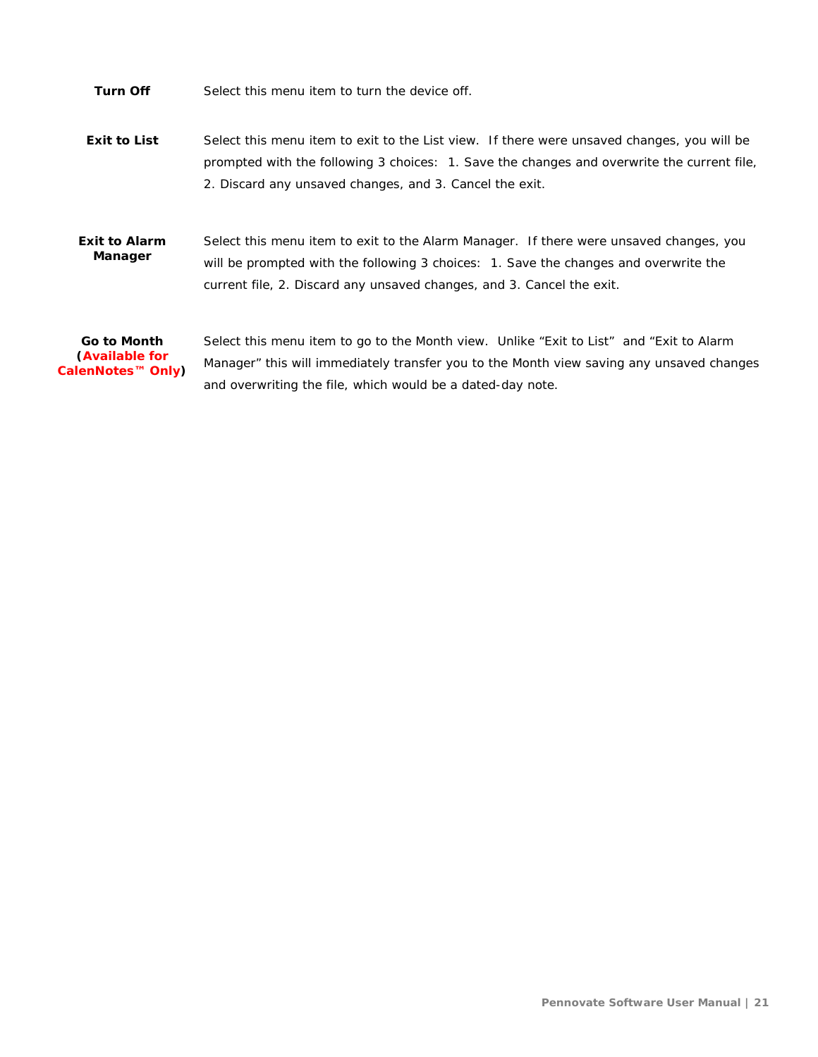**Turn Off** Select this menu item to turn the device off.

**Exit to List** Select this menu item to exit to the List view. If there were unsaved changes, you will be prompted with the following 3 choices: 1. Save the changes and overwrite the current file, 2. Discard any unsaved changes, and 3. Cancel the exit.

**Exit to Alarm Manager** Select this menu item to exit to the Alarm Manager. If there were unsaved changes, you will be prompted with the following 3 choices: 1. Save the changes and overwrite the current file, 2. Discard any unsaved changes, and 3. Cancel the exit.

**Go to Month (Available for CalenNotes™ Only)** Select this menu item to go to the Month view. Unlike "Exit to List" and "Exit to Alarm Manager" this will immediately transfer you to the Month view saving any unsaved changes and overwriting the file, which would be a dated-day note.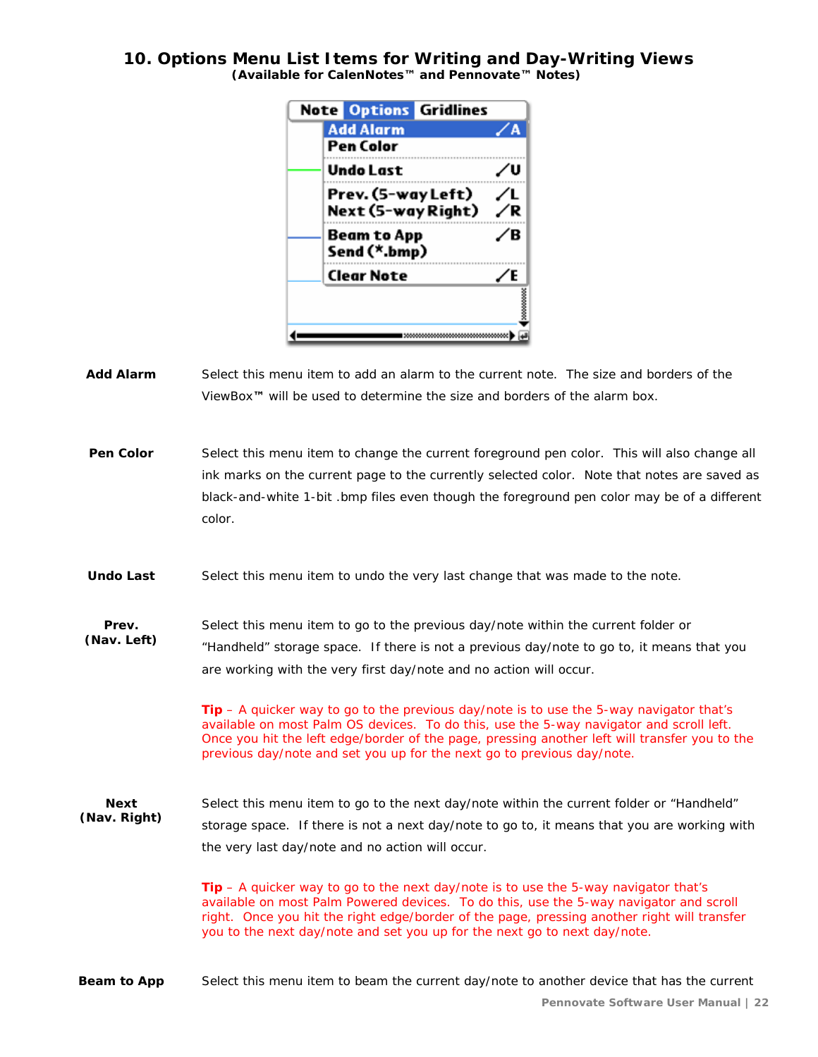#### <span id="page-21-0"></span>**10. Options Menu List Items for Writing and Day-Writing Views (Available for CalenNotes™ and Pennovate™ Notes)**

|                                          | <b>Note Options Gridlines</b> |   |
|------------------------------------------|-------------------------------|---|
| <b>Add Alarm</b>                         |                               |   |
| Pen Color                                |                               |   |
| Undo Last                                |                               |   |
| Prev. (5-way Left)<br>Next (5-way Right) |                               |   |
| Beam to App<br>Send (*.bmp)              |                               | R |
| <b>Clear Note</b>                        |                               |   |
|                                          |                               |   |
|                                          |                               |   |

**Add Alarm** Select this menu item to add an alarm to the current note. The size and borders of the ViewBox**™** will be used to determine the size and borders of the alarm box.

**Pen Color** Select this menu item to change the current foreground pen color. This will also change all ink marks on the current page to the currently selected color. Note that notes are saved as black-and-white 1-bit .bmp files even though the foreground pen color may be of a different color.

Undo Last Select this menu item to undo the very last change that was made to the note.

**Prev.**  Select this menu item to go to the previous day/note within the current folder or

**(Nav. Left)** "Handheld" storage space. If there is not a previous day/note to go to, it means that you are working with the very first day/note and no action will occur.

> **Tip** – A quicker way to go to the previous day/note is to use the 5-way navigator that's available on most Palm OS devices. To do this, use the 5-way navigator and scroll left. Once you hit the left edge/border of the page, pressing another left will transfer you to the previous day/note and set you up for the next go to previous day/note.

**Next (Nav. Right)** Select this menu item to go to the next day/note within the current folder or "Handheld" storage space. If there is not a next day/note to go to, it means that you are working with the very last day/note and no action will occur.

> **Tip** – A quicker way to go to the next day/note is to use the 5-way navigator that's available on most Palm Powered devices. To do this, use the 5-way navigator and scroll right. Once you hit the right edge/border of the page, pressing another right will transfer you to the next day/note and set you up for the next go to next day/note.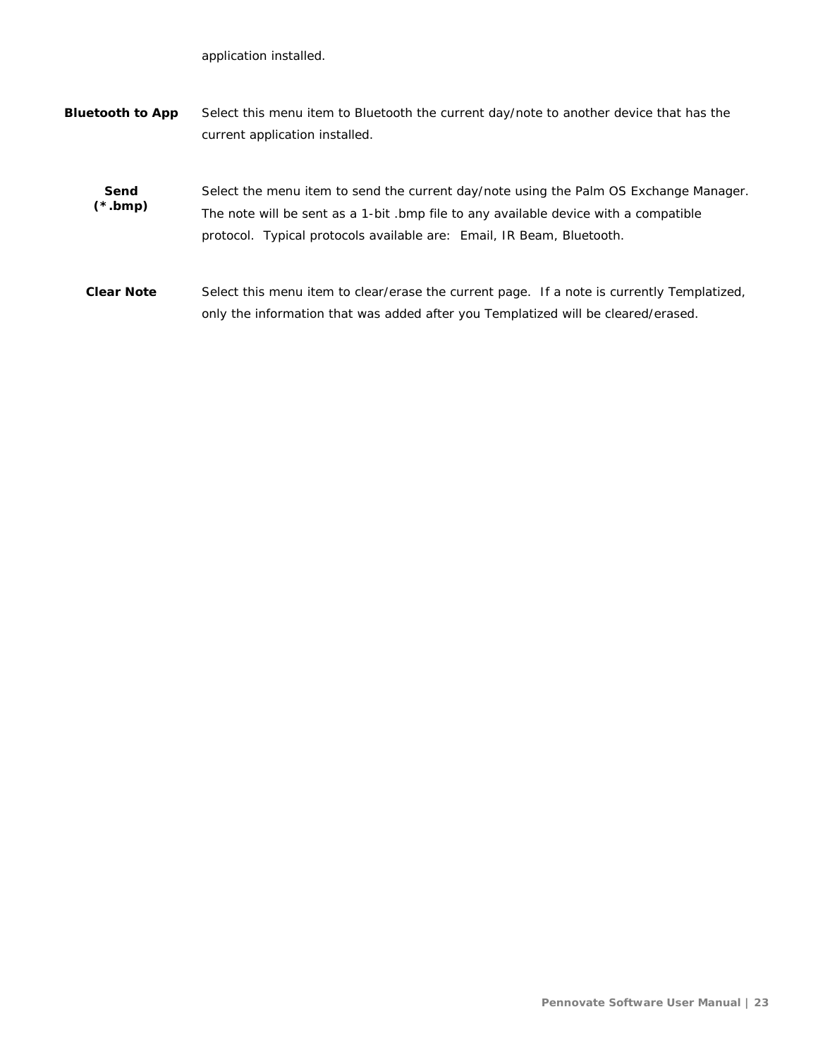application installed.

| <b>Bluetooth to App</b> | Select this menu item to Bluetooth the current day/note to another device that has the |
|-------------------------|----------------------------------------------------------------------------------------|
|                         | current application installed.                                                         |
|                         |                                                                                        |

**Send (\*.bmp)** Select the menu item to send the current day/note using the Palm OS Exchange Manager. The note will be sent as a 1-bit .bmp file to any available device with a compatible protocol. Typical protocols available are: Email, IR Beam, Bluetooth.

**Clear Note** Select this menu item to clear/erase the current page. If a note is currently Templatized, only the information that was added after you Templatized will be cleared/erased.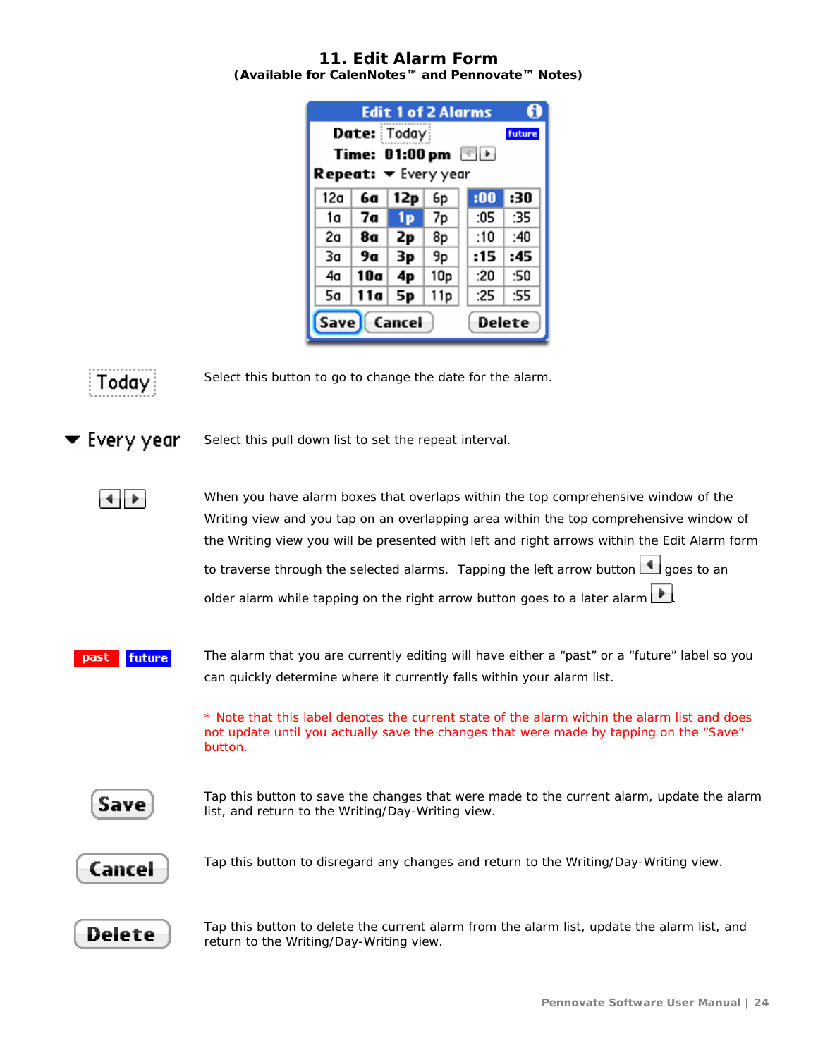#### <span id="page-23-0"></span>**11. Edit Alarm Form (Available for CalenNotes™ and Pennovate™ Notes)**

| <b>Edit 1 of 2 Alarms</b>   |                         |     |                 |               |        |
|-----------------------------|-------------------------|-----|-----------------|---------------|--------|
|                             | Date: Today             |     |                 |               | future |
|                             | Time: 01:00 pm          |     |                 | $\rightarrow$ |        |
| <b>Repeat: ▼</b> Every year |                         |     |                 |               |        |
| 12a                         | 6а                      | 12p | 6p              | :00           | :30    |
| 1a                          | 7а                      | 1p  | 7p              | :05           | :35    |
| 2a                          | 8а                      | 2p  | 8p              | :10           | :40    |
| Зa                          | 9а                      | Зp  | 9p              | :15           | :45    |
| 4a                          | 10a                     | 4p  | 10 <sub>p</sub> | :20           | :50    |
| 5a                          | 11a                     | 5p  | 11p             | :25           | :55    |
|                             | Save   Cancel<br>Delete |     |                 |               |        |



Select this button to go to change the date for the alarm.

Every year

Select this pull down list to set the repeat interval.

41

When you have alarm boxes that overlaps within the top comprehensive window of the Writing view and you tap on an overlapping area within the top comprehensive window of the Writing view you will be presented with left and right arrows within the Edit Alarm form to traverse through the selected alarms. Tapping the left arrow button  $\Box$  goes to an older alarm while tapping on the right arrow button goes to a later alarm

future The alarm that you are currently editing will have either a "past" or a "future" label so you past can quickly determine where it currently falls within your alarm list.

> \* Note that this label denotes the current state of the alarm within the alarm list and does not update until you actually save the changes that were made by tapping on the "Save" button.



Tap this button to save the changes that were made to the current alarm, update the alarm list, and return to the Writing/Day-Writing view.



Tap this button to disregard any changes and return to the Writing/Day-Writing view.



Tap this button to delete the current alarm from the alarm list, update the alarm list, and return to the Writing/Day-Writing view.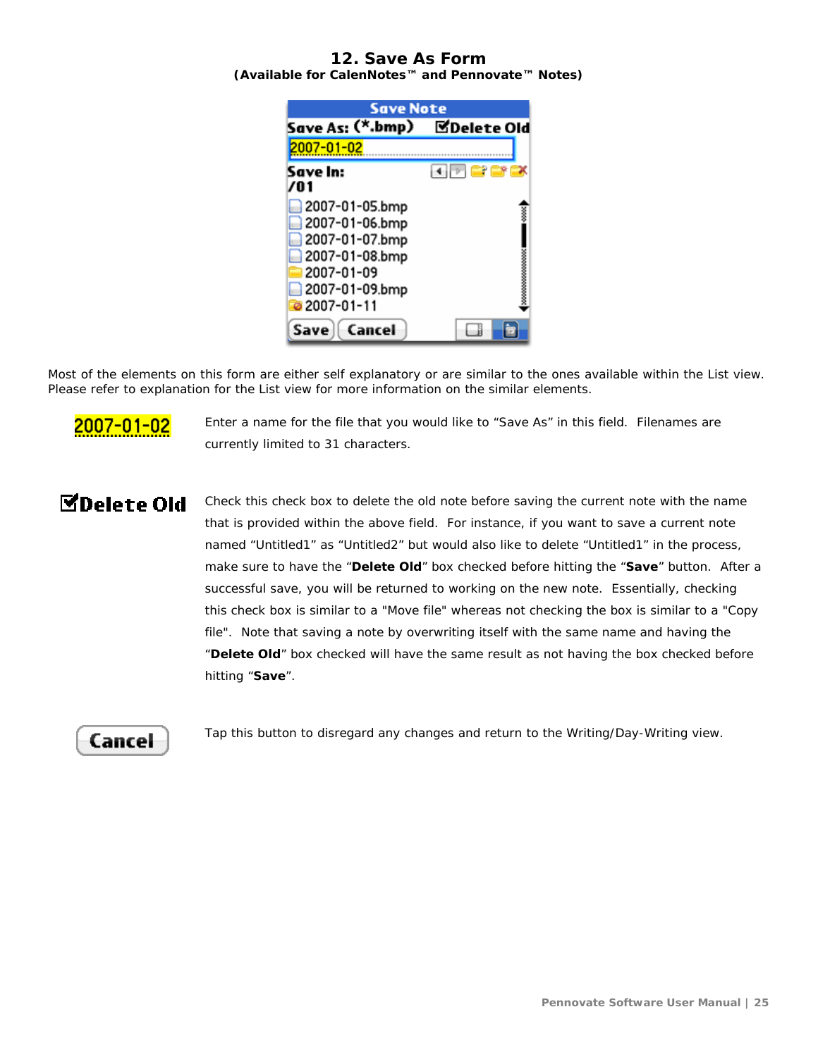### <span id="page-24-0"></span>**12. Save As Form (Available for CalenNotes™ and Pennovate™ Notes)**



Most of the elements on this form are either self explanatory or are similar to the ones available within the List view. Please refer to explanation for the List view for more information on the similar elements.



Enter a name for the file that you would like to "Save As" in this field. Filenames are currently limited to 31 characters.

# **MDelete Old**

Check this check box to delete the old note before saving the current note with the name that is provided within the above field. For instance, if you want to save a current note named "Untitled1" as "Untitled2" but would also like to delete "Untitled1" in the process, make sure to have the "**Delete Old**" box checked before hitting the "**Save**" button. After a successful save, you will be returned to working on the new note. Essentially, checking this check box is similar to a "Move file" whereas not checking the box is similar to a "Copy file". Note that saving a note by overwriting itself with the same name and having the "**Delete Old**" box checked will have the same result as not having the box checked before hitting "**Save**".

# Cancel

Tap this button to disregard any changes and return to the Writing/Day-Writing view.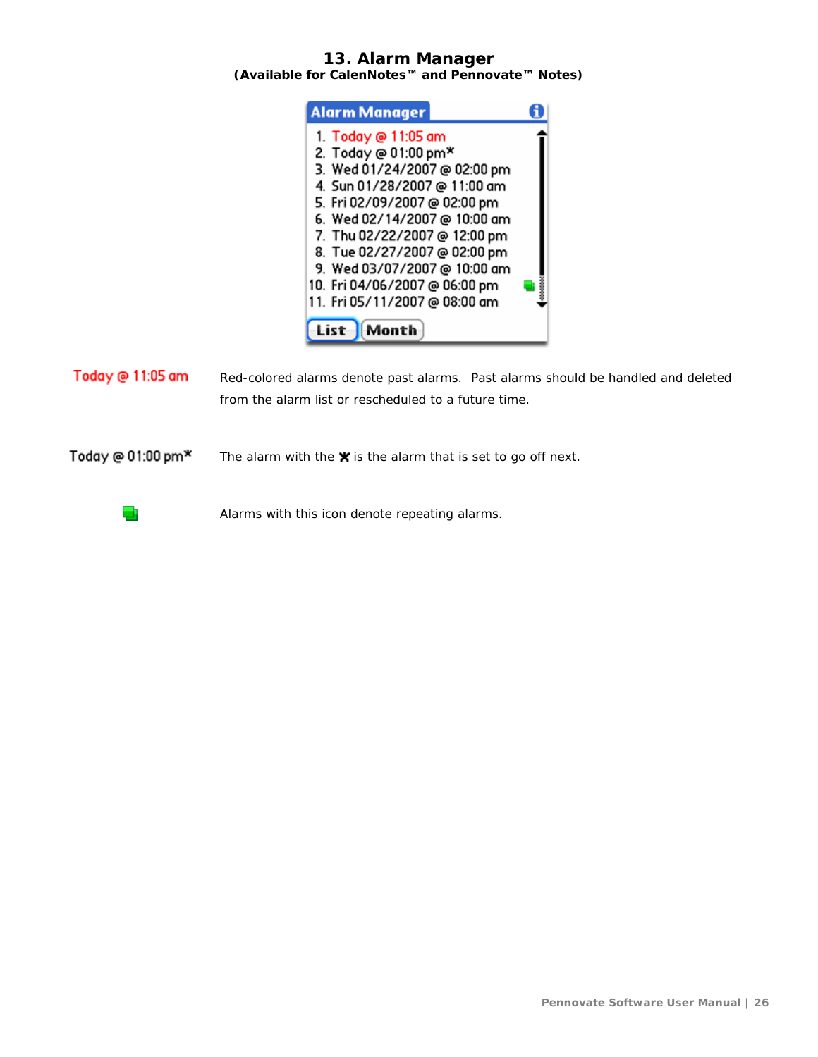### <span id="page-25-0"></span>**13. Alarm Manager (Available for CalenNotes™ and Pennovate™ Notes)**



Today @ 11:05 am Red-colored alarms denote past alarms. Past alarms should be handled and deleted from the alarm list or rescheduled to a future time.

Today @ 01:00 pm\* The alarm with the  $\bigstar$  is the alarm that is set to go off next.

Alarms with this icon denote repeating alarms.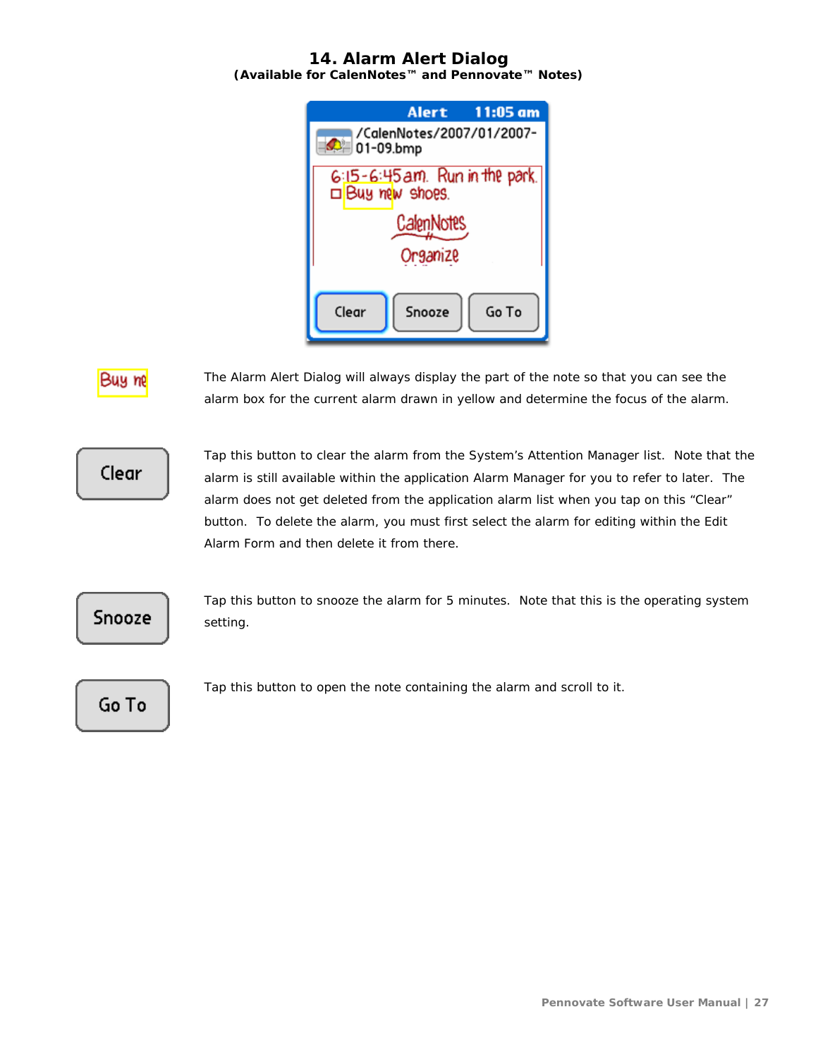# **14. Alarm Alert Dialog**

<span id="page-26-0"></span>**(Available for CalenNotes™ and Pennovate™ Notes)**

| Alert 11:05 am                                    |  |  |  |  |  |  |
|---------------------------------------------------|--|--|--|--|--|--|
| /CalenNotes/2007/01/2007-<br>$\bigcirc$ 01-09.bmp |  |  |  |  |  |  |
| 6:15-6:45 am. Run in the park.<br>Buy new shoes.  |  |  |  |  |  |  |
| <b>CalenNotes</b>                                 |  |  |  |  |  |  |
| Organize                                          |  |  |  |  |  |  |
| Clear<br>Snooze<br>Go To                          |  |  |  |  |  |  |

# Buu m

The Alarm Alert Dialog will always display the part of the note so that you can see the alarm box for the current alarm drawn in yellow and determine the focus of the alarm.

# Clear

Tap this button to clear the alarm from the System's Attention Manager list. Note that the alarm is still available within the application Alarm Manager for you to refer to later. The alarm does not get deleted from the application alarm list when you tap on this "Clear" button. To delete the alarm, you must first select the alarm for editing within the Edit Alarm Form and then delete it from there.



Tap this button to snooze the alarm for 5 minutes. Note that this is the operating system setting.

Go To

Tap this button to open the note containing the alarm and scroll to it.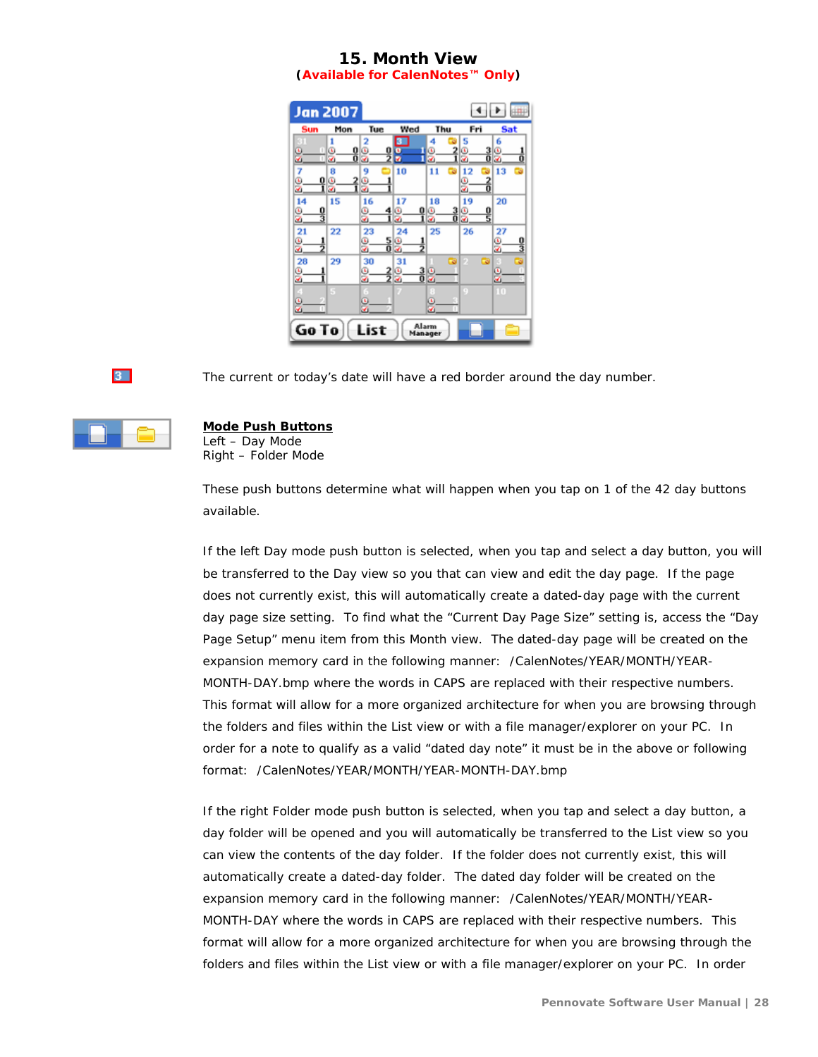# **15. Month View**

**(Available for CalenNotes™ Only)**

<span id="page-27-0"></span>



The current or today's date will have a red border around the day number.



### **Mode Push Buttons**

Left – Day Mode Right – Folder Mode

These push buttons determine what will happen when you tap on 1 of the 42 day buttons available.

If the left Day mode push button is selected, when you tap and select a day button, you will be transferred to the Day view so you that can view and edit the day page. If the page does not currently exist, this will automatically create a dated-day page with the current day page size setting. To find what the "Current Day Page Size" setting is, access the "Day Page Setup" menu item from this Month view. The dated-day page will be created on the expansion memory card in the following manner: /CalenNotes/YEAR/MONTH/YEAR-MONTH-DAY.bmp where the words in CAPS are replaced with their respective numbers. This format will allow for a more organized architecture for when you are browsing through the folders and files within the List view or with a file manager/explorer on your PC. In order for a note to qualify as a valid "dated day note" it must be in the above or following format: /CalenNotes/YEAR/MONTH/YEAR-MONTH-DAY.bmp

If the right Folder mode push button is selected, when you tap and select a day button, a day folder will be opened and you will automatically be transferred to the List view so you can view the contents of the day folder. If the folder does not currently exist, this will automatically create a dated-day folder. The dated day folder will be created on the expansion memory card in the following manner: /CalenNotes/YEAR/MONTH/YEAR-MONTH-DAY where the words in CAPS are replaced with their respective numbers. This format will allow for a more organized architecture for when you are browsing through the folders and files within the List view or with a file manager/explorer on your PC. In order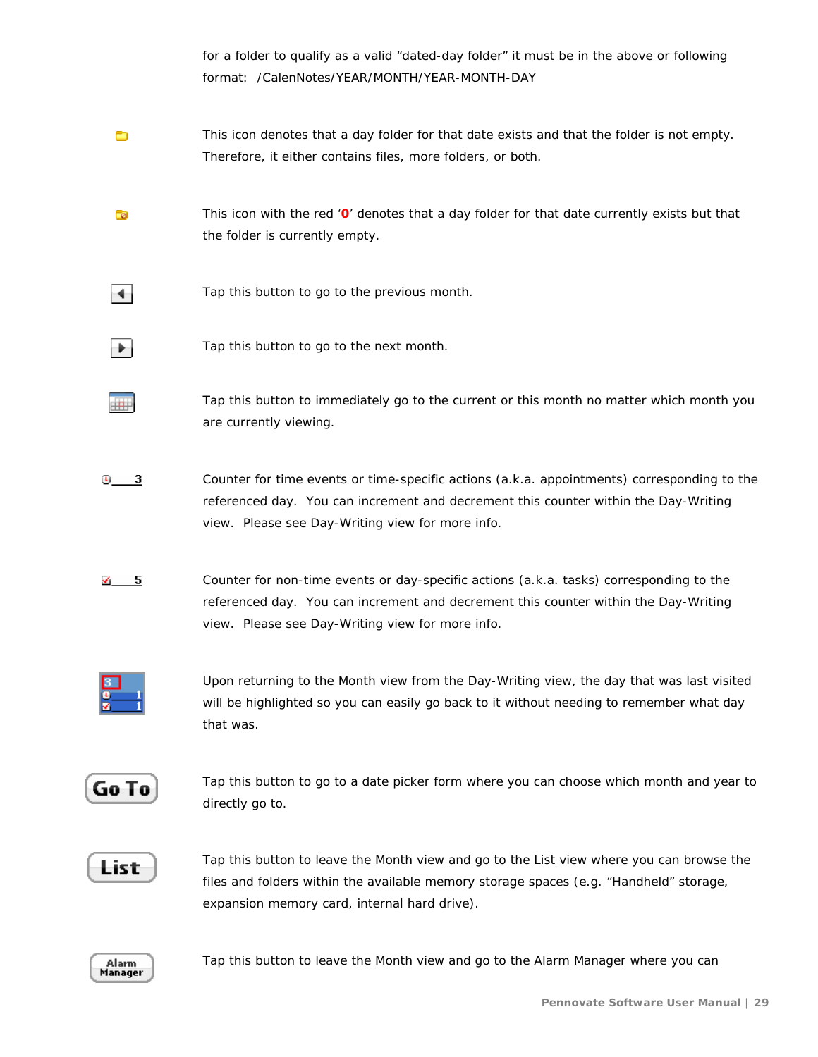for a folder to qualify as a valid "dated-day folder" it must be in the above or following format: /CalenNotes/YEAR/MONTH/YEAR-MONTH-DAY

- 0 This icon denotes that a day folder for that date exists and that the folder is not empty. Therefore, it either contains files, more folders, or both.
- This icon with the red '**0**' denotes that a day folder for that date currently exists but that G the folder is currently empty.
- Tap this button to go to the previous month.  $\blacktriangleleft$
- Tap this button to go to the next month. ÷.
	- Tap this button to immediately go to the current or this month no matter which month you are currently viewing.
- $\overline{0}$  3 Counter for time events or time-specific actions (a.k.a. appointments) corresponding to the referenced day. You can increment and decrement this counter within the Day-Writing view. Please see Day-Writing view for more info.
- $\checkmark$  5 Counter for non-time events or day-specific actions (a.k.a. tasks) corresponding to the referenced day. You can increment and decrement this counter within the Day-Writing view. Please see Day-Writing view for more info.



 $\overline{+}$ 

Upon returning to the Month view from the Day-Writing view, the day that was last visited will be highlighted so you can easily go back to it without needing to remember what day that was.

Go To

Tap this button to go to a date picker form where you can choose which month and year to directly go to.

List

Tap this button to leave the Month view and go to the List view where you can browse the files and folders within the available memory storage spaces (e.g. "Handheld" storage, expansion memory card, internal hard drive).

Alarm Manager

Tap this button to leave the Month view and go to the Alarm Manager where you can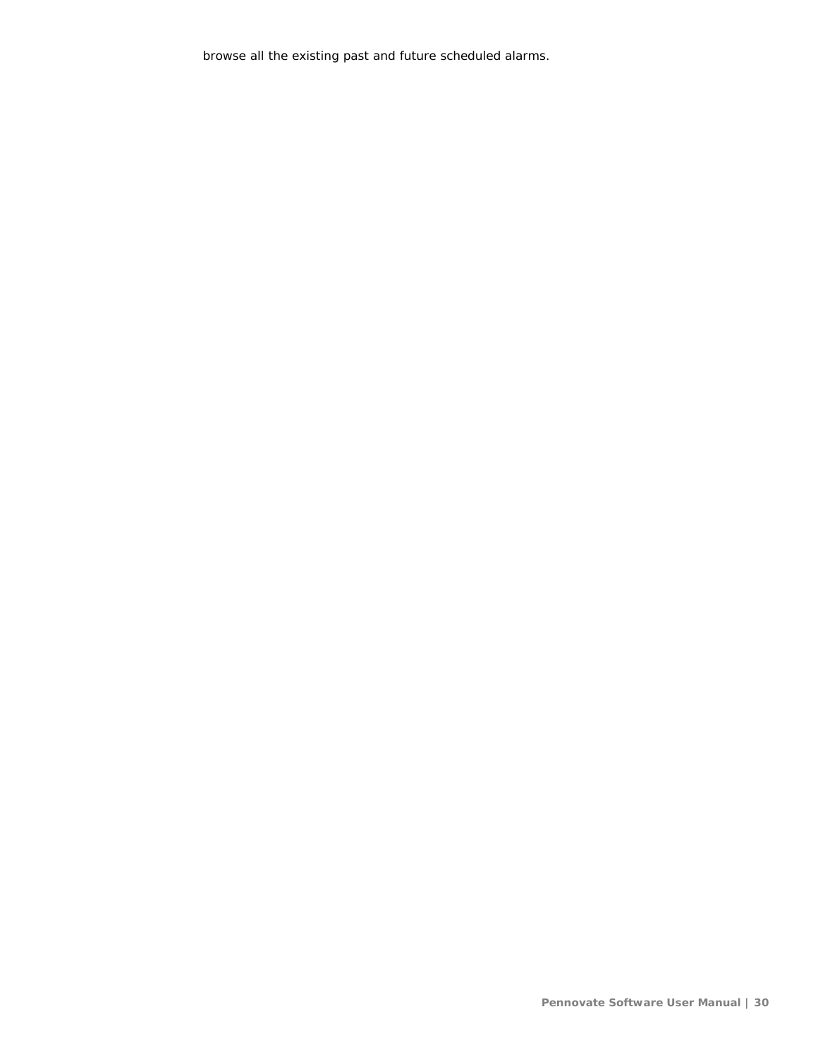browse all the existing past and future scheduled alarms.